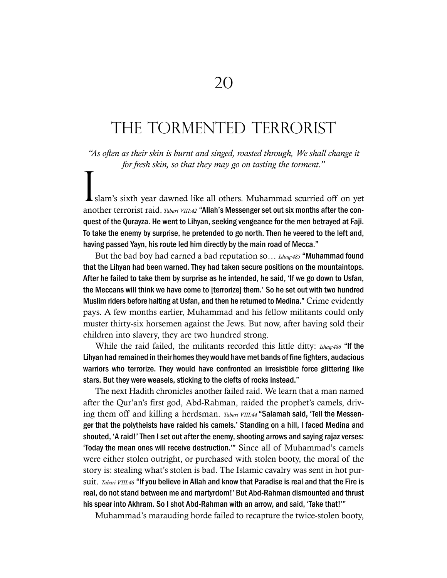## THE TORMENTED TERRORIST

*"As often as their skin is burnt and singed, roasted through, We shall change it for fresh skin, so that they may go on tasting the torment."*

Islam's sixth year dawned like all others. Muhammad scurried off on yet another terrorist raid. *Tabari VIII:42* "Allah's Messenger set out six months after the conquest of the Qurayza. He went to Lihyan, seeking vengeance for the men betrayed at Faji. To take the enemy by surprise, he pretended to go north. Then he veered to the left and, having passed Yayn, his route led him directly by the main road of Mecca."

But the bad boy had earned a bad reputation so… *Ishaq:485* "Muhammad found that the Lihyan had been warned. They had taken secure positions on the mountaintops. After he failed to take them by surprise as he intended, he said, 'If we go down to Usfan, the Meccans will think we have come to [terrorize] them.' So he set out with two hundred Muslim riders before halting at Usfan, and then he returned to Medina." Crime evidently pays. A few months earlier, Muhammad and his fellow militants could only muster thirty-six horsemen against the Jews. But now, after having sold their children into slavery, they are two hundred strong.

While the raid failed, the militants recorded this little ditty: *Ishaq:486* "If the Lihyan had remained in their homes they would have met bands of fine fighters, audacious warriors who terrorize. They would have confronted an irresistible force glittering like stars. But they were weasels, sticking to the clefts of rocks instead."

The next Hadith chronicles another failed raid. We learn that a man named after the Qur'an's first god, Abd-Rahman, raided the prophet's camels, driving them off and killing a herdsman. *Tabari VIII:44* "Salamah said, 'Tell the Messenger that the polytheists have raided his camels.' Standing on a hill, I faced Medina and shouted, 'A raid!' Then I set out after the enemy, shooting arrows and saying rajaz verses: 'Today the mean ones will receive destruction.'" Since all of Muhammad's camels were either stolen outright, or purchased with stolen booty, the moral of the story is: stealing what's stolen is bad. The Islamic cavalry was sent in hot pursuit. *Tabari VIII:46* "If you believe in Allah and know that Paradise is real and that the Fire is real, do not stand between me and martyrdom!' But Abd-Rahman dismounted and thrust his spear into Akhram. So I shot Abd-Rahman with an arrow, and said, 'Take that!'"

Muhammad's marauding horde failed to recapture the twice-stolen booty,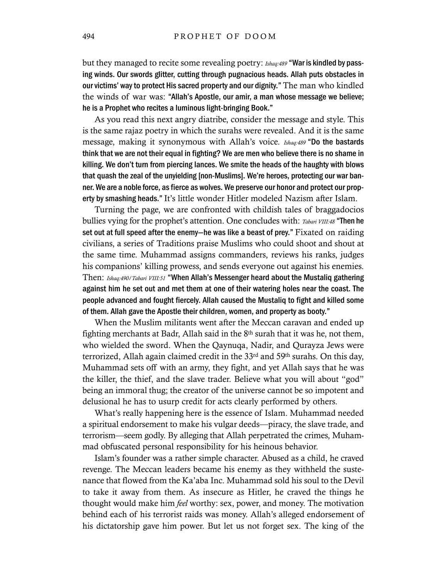but they managed to recite some revealing poetry: *Ishaq:489* "War is kindled by passing winds. Our swords glitter, cutting through pugnacious heads. Allah puts obstacles in our victims' way to protect His sacred property and our dignity." The man who kindled the winds of war was: "Allah's Apostle, our amir, a man whose message we believe; he is a Prophet who recites a luminous light-bringing Book."

As you read this next angry diatribe, consider the message and style. This is the same rajaz poetry in which the surahs were revealed. And it is the same message, making it synonymous with Allah's voice. *Ishaq:489* "Do the bastards think that we are not their equal in fighting? We are men who believe there is no shame in killing. We don't turn from piercing lances. We smite the heads of the haughty with blows that quash the zeal of the unyielding [non-Muslims]. We're heroes, protecting our war banner. We are a noble force, as fierce as wolves. We preserve our honor and protect our property by smashing heads." It's little wonder Hitler modeled Nazism after Islam.

Turning the page, we are confronted with childish tales of braggadocios bullies vying for the prophet's attention. One concludes with: *Tabari VIII:48* "Then he set out at full speed after the enemy—he was like a beast of prey." Fixated on raiding civilians, a series of Traditions praise Muslims who could shoot and shout at the same time. Muhammad assigns commanders, reviews his ranks, judges his companions' killing prowess, and sends everyone out against his enemies. Then: *Ishaq:490/Tabari VIII:51* "When Allah's Messenger heard about the Mustaliq gathering against him he set out and met them at one of their watering holes near the coast. The people advanced and fought fiercely. Allah caused the Mustaliq to fight and killed some of them. Allah gave the Apostle their children, women, and property as booty."

When the Muslim militants went after the Meccan caravan and ended up fighting merchants at Badr, Allah said in the  $8<sup>th</sup>$  surah that it was he, not them, who wielded the sword. When the Qaynuqa, Nadir, and Qurayza Jews were terrorized, Allah again claimed credit in the 33rd and 59th surahs. On this day, Muhammad sets off with an army, they fight, and yet Allah says that he was the killer, the thief, and the slave trader. Believe what you will about "god" being an immoral thug; the creator of the universe cannot be so impotent and delusional he has to usurp credit for acts clearly performed by others.

What's really happening here is the essence of Islam. Muhammad needed a spiritual endorsement to make his vulgar deeds—piracy, the slave trade, and terrorism—seem godly. By alleging that Allah perpetrated the crimes, Muhammad obfuscated personal responsibility for his heinous behavior.

Islam's founder was a rather simple character. Abused as a child, he craved revenge. The Meccan leaders became his enemy as they withheld the sustenance that flowed from the Ka'aba Inc. Muhammad sold his soul to the Devil to take it away from them. As insecure as Hitler, he craved the things he thought would make him *feel* worthy: sex, power, and money. The motivation behind each of his terrorist raids was money. Allah's alleged endorsement of his dictatorship gave him power. But let us not forget sex. The king of the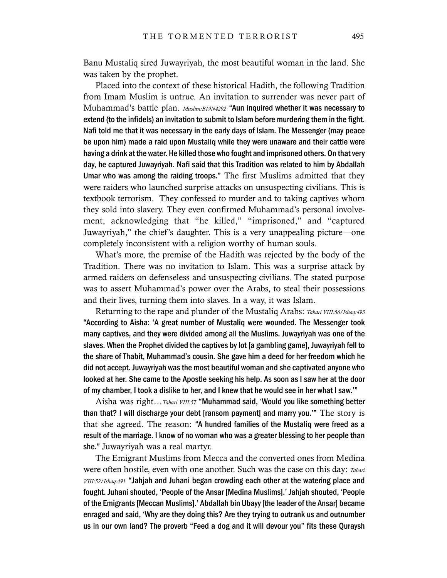Banu Mustaliq sired Juwayriyah, the most beautiful woman in the land. She was taken by the prophet.

Placed into the context of these historical Hadith, the following Tradition from Imam Muslim is untrue. An invitation to surrender was never part of Muhammad's battle plan. *Muslim:B19N4292* "Aun inquired whether it was necessary to extend (to the infidels) an invitation to submit to Islam before murdering them in the fight. Nafi told me that it was necessary in the early days of Islam. The Messenger (may peace be upon him) made a raid upon Mustaliq while they were unaware and their cattle were having a drink at the water. He killed those who fought and imprisoned others. On that very day, he captured Juwayriyah. Nafi said that this Tradition was related to him by Abdallah Umar who was among the raiding troops." The first Muslims admitted that they were raiders who launched surprise attacks on unsuspecting civilians. This is textbook terrorism. They confessed to murder and to taking captives whom they sold into slavery. They even confirmed Muhammad's personal involvement, acknowledging that "he killed," "imprisoned," and "captured Juwayriyah," the chief's daughter. This is a very unappealing picture—one completely inconsistent with a religion worthy of human souls.

What's more, the premise of the Hadith was rejected by the body of the Tradition. There was no invitation to Islam. This was a surprise attack by armed raiders on defenseless and unsuspecting civilians. The stated purpose was to assert Muhammad's power over the Arabs, to steal their possessions and their lives, turning them into slaves. In a way, it was Islam.

Returning to the rape and plunder of the Mustaliq Arabs: *Tabari VIII:56/Ishaq:493* "According to Aisha: 'A great number of Mustaliq were wounded. The Messenger took many captives, and they were divided among all the Muslims. Juwayriyah was one of the slaves. When the Prophet divided the captives by lot [a gambling game], Juwayriyah fell to the share of Thabit, Muhammad's cousin. She gave him a deed for her freedom which he did not accept. Juwayriyah was the most beautiful woman and she captivated anyone who looked at her. She came to the Apostle seeking his help. As soon as I saw her at the door of my chamber, I took a dislike to her, and I knew that he would see in her what I saw.'"

Aisha was right…*Tabari VIII:57* "Muhammad said, 'Would you like something better than that? I will discharge your debt [ransom payment] and marry you.'" The story is that she agreed. The reason: "A hundred families of the Mustaliq were freed as a result of the marriage. I know of no woman who was a greater blessing to her people than she." Juwayriyah was a real martyr.

The Emigrant Muslims from Mecca and the converted ones from Medina were often hostile, even with one another. Such was the case on this day: *Tabari VIII:52/Ishaq:491* "Jahjah and Juhani began crowding each other at the watering place and fought. Juhani shouted, 'People of the Ansar [Medina Muslims].' Jahjah shouted, 'People of the Emigrants [Meccan Muslims].' Abdallah bin Ubayy [the leader of the Ansar] became enraged and said, 'Why are they doing this? Are they trying to outrank us and outnumber us in our own land? The proverb "Feed a dog and it will devour you" fits these Quraysh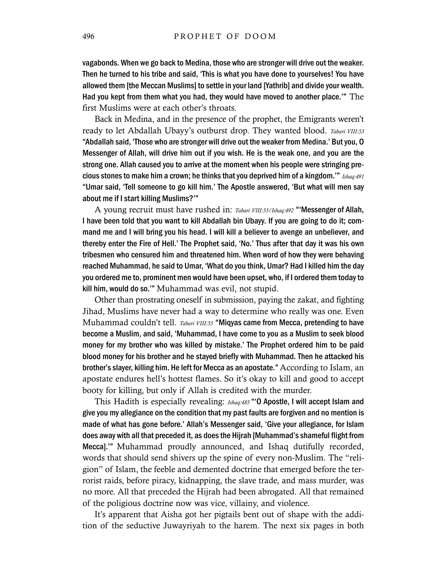vagabonds. When we go back to Medina, those who are stronger will drive out the weaker. Then he turned to his tribe and said, 'This is what you have done to yourselves! You have allowed them [the Meccan Muslims] to settle in your land [Yathrib] and divide your wealth. Had you kept from them what you had, they would have moved to another place.'" The first Muslims were at each other's throats.

Back in Medina, and in the presence of the prophet, the Emigrants weren't ready to let Abdallah Ubayy's outburst drop. They wanted blood. *Tabari VIII:53* "Abdallah said, 'Those who are stronger will drive out the weaker from Medina.' But you, O Messenger of Allah, will drive him out if you wish. He is the weak one, and you are the strong one. Allah caused you to arrive at the moment when his people were stringing precious stones to make him a crown; he thinks that you deprived him of a kingdom.'" *Ishaq:491* "Umar said, 'Tell someone to go kill him.' The Apostle answered, 'But what will men say about me if I start killing Muslims?'"

A young recruit must have rushed in: *Tabari VIII:55/Ishaq:492* "'Messenger of Allah, I have been told that you want to kill Abdallah bin Ubayy. If you are going to do it; command me and I will bring you his head. I will kill a believer to avenge an unbeliever, and thereby enter the Fire of Hell.' The Prophet said, 'No.' Thus after that day it was his own tribesmen who censured him and threatened him. When word of how they were behaving reached Muhammad, he said to Umar, 'What do you think, Umar? Had I killed him the day you ordered me to, prominent men would have been upset, who, if I ordered them today to kill him, would do so.'" Muhammad was evil, not stupid.

Other than prostrating oneself in submission, paying the zakat, and fighting Jihad, Muslims have never had a way to determine who really was one. Even Muhammad couldn't tell. *Tabari VIII:55* "Miqyas came from Mecca, pretending to have become a Muslim, and said, 'Muhammad, I have come to you as a Muslim to seek blood money for my brother who was killed by mistake.' The Prophet ordered him to be paid blood money for his brother and he stayed briefly with Muhammad. Then he attacked his brother's slayer, killing him. He left for Mecca as an apostate." According to Islam, an apostate endures hell's hottest flames. So it's okay to kill and good to accept booty for killing, but only if Allah is credited with the murder.

This Hadith is especially revealing: *Ishaq:485* "'O Apostle, I will accept Islam and give you my allegiance on the condition that my past faults are forgiven and no mention is made of what has gone before.' Allah's Messenger said, 'Give your allegiance, for Islam does away with all that preceded it, as does the Hijrah [Muhammad's shameful flight from Mecca].'" Muhammad proudly announced, and Ishaq dutifully recorded, words that should send shivers up the spine of every non-Muslim. The "religion" of Islam, the feeble and demented doctrine that emerged before the terrorist raids, before piracy, kidnapping, the slave trade, and mass murder, was no more. All that preceded the Hijrah had been abrogated. All that remained of the poligious doctrine now was vice, villainy, and violence.

It's apparent that Aisha got her pigtails bent out of shape with the addition of the seductive Juwayriyah to the harem. The next six pages in both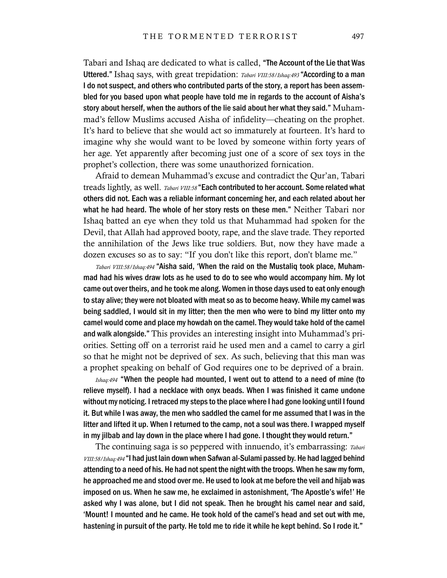Tabari and Ishaq are dedicated to what is called, "The Account of the Lie that Was Uttered." Ishaq says, with great trepidation: *Tabari VIII:58/Ishaq:493* "According to a man I do not suspect, and others who contributed parts of the story, a report has been assembled for you based upon what people have told me in regards to the account of Aisha's story about herself, when the authors of the lie said about her what they said." Muhammad's fellow Muslims accused Aisha of infidelity—cheating on the prophet. It's hard to believe that she would act so immaturely at fourteen. It's hard to imagine why she would want to be loved by someone within forty years of her age. Yet apparently after becoming just one of a score of sex toys in the prophet's collection, there was some unauthorized fornication.

Afraid to demean Muhammad's excuse and contradict the Qur'an, Tabari treads lightly, as well. *Tabari VIII:58* "Each contributed to her account. Some related what others did not. Each was a reliable informant concerning her, and each related about her what he had heard. The whole of her story rests on these men." Neither Tabari nor Ishaq batted an eye when they told us that Muhammad had spoken for the Devil, that Allah had approved booty, rape, and the slave trade. They reported the annihilation of the Jews like true soldiers. But, now they have made a dozen excuses so as to say: "If you don't like this report, don't blame me."

*Tabari VIII:58/Ishaq:494* "Aisha said, 'When the raid on the Mustaliq took place, Muhammad had his wives draw lots as he used to do to see who would accompany him. My lot came out over theirs, and he took me along. Women in those days used to eat only enough to stay alive; they were not bloated with meat so as to become heavy. While my camel was being saddled, I would sit in my litter; then the men who were to bind my litter onto my camel would come and place my howdah on the camel. They would take hold of the camel and walk alongside." This provides an interesting insight into Muhammad's priorities. Setting off on a terrorist raid he used men and a camel to carry a girl so that he might not be deprived of sex. As such, believing that this man was a prophet speaking on behalf of God requires one to be deprived of a brain.

*Ishaq:494* "When the people had mounted, I went out to attend to a need of mine (to relieve myself). I had a necklace with onyx beads. When I was finished it came undone without my noticing. I retraced my steps to the place where I had gone looking until I found it. But while I was away, the men who saddled the camel for me assumed that I was in the litter and lifted it up. When I returned to the camp, not a soul was there. I wrapped myself in my jilbab and lay down in the place where I had gone. I thought they would return."

The continuing saga is so peppered with innuendo, it's embarrassing: *Tabari VIII:58/Ishaq:494* "I had just lain down when Safwan al-Sulami passed by. He had lagged behind attending to a need of his. He had not spent the night with the troops. When he saw my form, he approached me and stood over me. He used to look at me before the veil and hijab was imposed on us. When he saw me, he exclaimed in astonishment, 'The Apostle's wife!' He asked why I was alone, but I did not speak. Then he brought his camel near and said, 'Mount! I mounted and he came. He took hold of the camel's head and set out with me, hastening in pursuit of the party. He told me to ride it while he kept behind. So I rode it."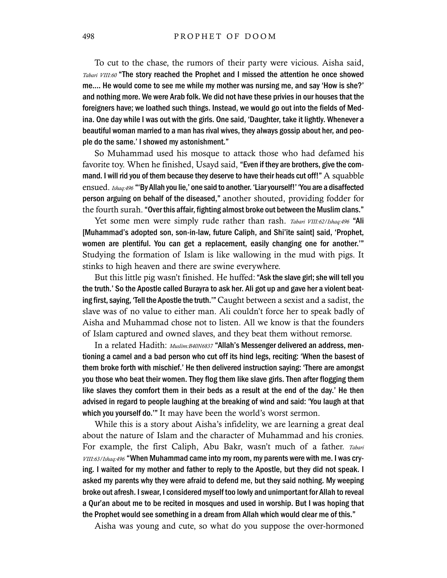To cut to the chase, the rumors of their party were vicious. Aisha said, *Tabari VIII:60* "The story reached the Prophet and I missed the attention he once showed me.… He would come to see me while my mother was nursing me, and say 'How is she?' and nothing more. We were Arab folk. We did not have these privies in our houses that the foreigners have; we loathed such things. Instead, we would go out into the fields of Medina. One day while I was out with the girls. One said, 'Daughter, take it lightly. Whenever a beautiful woman married to a man has rival wives, they always gossip about her, and people do the same.' I showed my astonishment."

So Muhammad used his mosque to attack those who had defamed his favorite toy. When he finished, Usayd said, "Even if they are brothers, give the command. I will rid you of them because they deserve to have their heads cut off!" A squabble ensued. *Ishaq:496* "'By Allah you lie,' one said to another. 'Liar yourself!' 'You are a disaffected person arguing on behalf of the diseased," another shouted, providing fodder for the fourth surah."Over this affair, fighting almost broke out between the Muslim clans."

Yet some men were simply rude rather than rash. *Tabari VIII:62/Ishaq:496* "Ali [Muhammad's adopted son, son-in-law, future Caliph, and Shi'ite saint] said, 'Prophet, women are plentiful. You can get a replacement, easily changing one for another.'" Studying the formation of Islam is like wallowing in the mud with pigs. It stinks to high heaven and there are swine everywhere.

But this little pig wasn't finished. He huffed:"Ask the slave girl; she will tell you the truth.' So the Apostle called Burayra to ask her. Ali got up and gave her a violent beating first, saying, 'Tell the Apostle the truth.'" Caught between a sexist and a sadist, the slave was of no value to either man. Ali couldn't force her to speak badly of Aisha and Muhammad chose not to listen. All we know is that the founders of Islam captured and owned slaves, and they beat them without remorse.

In a related Hadith: *Muslim:B40N6837* "Allah's Messenger delivered an address, mentioning a camel and a bad person who cut off its hind legs, reciting: 'When the basest of them broke forth with mischief.' He then delivered instruction saying: 'There are amongst you those who beat their women. They flog them like slave girls. Then after flogging them like slaves they comfort them in their beds as a result at the end of the day.' He then advised in regard to people laughing at the breaking of wind and said: 'You laugh at that which you yourself do.'" It may have been the world's worst sermon.

While this is a story about Aisha's infidelity, we are learning a great deal about the nature of Islam and the character of Muhammad and his cronies. For example, the first Caliph, Abu Bakr, wasn't much of a father. *Tabari VIII:63/Ishaq:496* "When Muhammad came into my room, my parents were with me. I was crying. I waited for my mother and father to reply to the Apostle, but they did not speak. I asked my parents why they were afraid to defend me, but they said nothing. My weeping broke out afresh. I swear, I considered myself too lowly and unimportant for Allah to reveal a Qur'an about me to be recited in mosques and used in worship. But I was hoping that the Prophet would see something in a dream from Allah which would clear me of this."

Aisha was young and cute, so what do you suppose the over-hormoned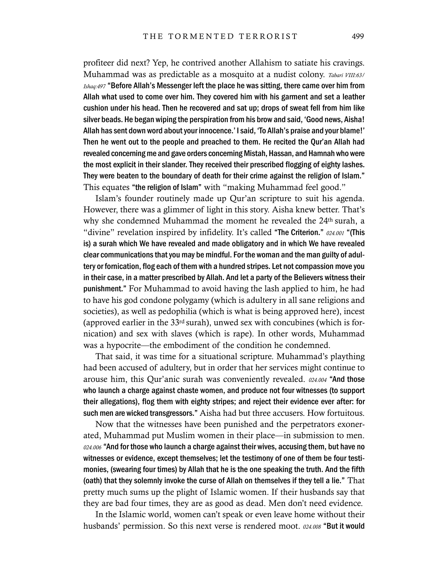profiteer did next? Yep, he contrived another Allahism to satiate his cravings. Muhammad was as predictable as a mosquito at a nudist colony. *Tabari VIII:63/ Ishaq:497* "Before Allah's Messenger left the place he was sitting, there came over him from Allah what used to come over him. They covered him with his garment and set a leather cushion under his head. Then he recovered and sat up; drops of sweat fell from him like silver beads. He began wiping the perspiration from his brow and said, 'Good news, Aisha! Allah has sent down word about your innocence.' I said, 'To Allah's praise and your blame!' Then he went out to the people and preached to them. He recited the Qur'an Allah had revealed concerning me and gave orders concerning Mistah, Hassan, and Hamnah who were the most explicit in their slander. They received their prescribed flogging of eighty lashes. They were beaten to the boundary of death for their crime against the religion of Islam." This equates "the religion of Islam" with "making Muhammad feel good."

Islam's founder routinely made up Qur'an scripture to suit his agenda. However, there was a glimmer of light in this story. Aisha knew better. That's why she condemned Muhammad the moment he revealed the 24<sup>th</sup> surah, a "divine" revelation inspired by infidelity. It's called "The Criterion." *024.001* "(This is) a surah which We have revealed and made obligatory and in which We have revealed clear communications that you may be mindful. For the woman and the man guilty of adultery or fornication, flog each of them with a hundred stripes. Let not compassion move you in their case, in a matter prescribed by Allah. And let a party of the Believers witness their punishment." For Muhammad to avoid having the lash applied to him, he had to have his god condone polygamy (which is adultery in all sane religions and societies), as well as pedophilia (which is what is being approved here), incest (approved earlier in the  $33<sup>rd</sup>$  surah), unwed sex with concubines (which is fornication) and sex with slaves (which is rape). In other words, Muhammad was a hypocrite—the embodiment of the condition he condemned.

That said, it was time for a situational scripture. Muhammad's plaything had been accused of adultery, but in order that her services might continue to arouse him, this Qur'anic surah was conveniently revealed. *024.004* "And those who launch a charge against chaste women, and produce not four witnesses (to support their allegations), flog them with eighty stripes; and reject their evidence ever after: for such men are wicked transgressors." Aisha had but three accusers. How fortuitous.

Now that the witnesses have been punished and the perpetrators exonerated, Muhammad put Muslim women in their place—in submission to men. *024.006* "And for those who launch a charge against their wives, accusing them, but have no witnesses or evidence, except themselves; let the testimony of one of them be four testimonies, (swearing four times) by Allah that he is the one speaking the truth. And the fifth (oath) that they solemnly invoke the curse of Allah on themselves if they tell a lie." That pretty much sums up the plight of Islamic women. If their husbands say that they are bad four times, they are as good as dead. Men don't need evidence.

In the Islamic world, women can't speak or even leave home without their husbands' permission. So this next verse is rendered moot. *024.008* "But it would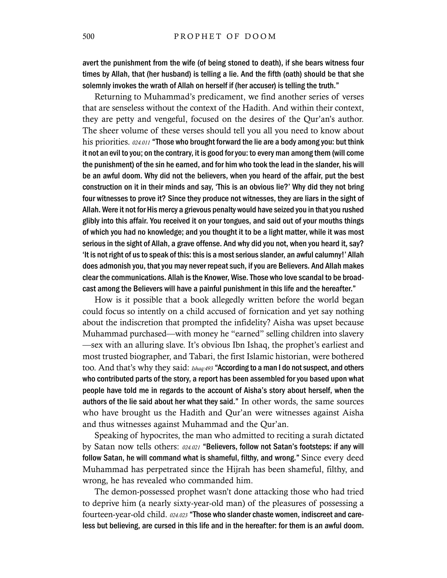avert the punishment from the wife (of being stoned to death), if she bears witness four times by Allah, that (her husband) is telling a lie. And the fifth (oath) should be that she solemnly invokes the wrath of Allah on herself if (her accuser) is telling the truth."

Returning to Muhammad's predicament, we find another series of verses that are senseless without the context of the Hadith. And within their context, they are petty and vengeful, focused on the desires of the Qur'an's author. The sheer volume of these verses should tell you all you need to know about his priorities. *024.011* "Those who brought forward the lie are a body among you: but think it not an evil to you; on the contrary, it is good for you: to every man among them (will come the punishment) of the sin he earned, and for him who took the lead in the slander, his will be an awful doom. Why did not the believers, when you heard of the affair, put the best construction on it in their minds and say, 'This is an obvious lie?' Why did they not bring four witnesses to prove it? Since they produce not witnesses, they are liars in the sight of Allah. Were it not for His mercy a grievous penalty would have seized you in that you rushed glibly into this affair. You received it on your tongues, and said out of your mouths things of which you had no knowledge; and you thought it to be a light matter, while it was most serious in the sight of Allah, a grave offense. And why did you not, when you heard it, say? 'It is not right of us to speak of this: this is a most serious slander, an awful calumny!' Allah does admonish you, that you may never repeat such, if you are Believers. And Allah makes clear the communications. Allah is the Knower, Wise. Those who love scandal to be broadcast among the Believers will have a painful punishment in this life and the hereafter."

How is it possible that a book allegedly written before the world began could focus so intently on a child accused of fornication and yet say nothing about the indiscretion that prompted the infidelity? Aisha was upset because Muhammad purchased—with money he "earned" selling children into slavery —sex with an alluring slave. It's obvious Ibn Ishaq, the prophet's earliest and most trusted biographer, and Tabari, the first Islamic historian, were bothered too. And that's why they said: *Ishaq:493* "According to a man I do not suspect, and others who contributed parts of the story, a report has been assembled for you based upon what people have told me in regards to the account of Aisha's story about herself, when the authors of the lie said about her what they said." In other words, the same sources who have brought us the Hadith and Qur'an were witnesses against Aisha and thus witnesses against Muhammad and the Qur'an.

Speaking of hypocrites, the man who admitted to reciting a surah dictated by Satan now tells others: *024.021* "Believers, follow not Satan's footsteps: if any will follow Satan, he will command what is shameful, filthy, and wrong." Since every deed Muhammad has perpetrated since the Hijrah has been shameful, filthy, and wrong, he has revealed who commanded him.

The demon-possessed prophet wasn't done attacking those who had tried to deprive him (a nearly sixty-year-old man) of the pleasures of possessing a fourteen-year-old child. *024.023* "Those who slander chaste women, indiscreet and careless but believing, are cursed in this life and in the hereafter: for them is an awful doom.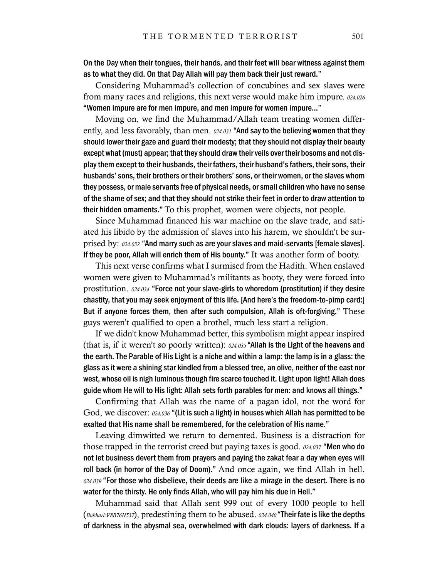On the Day when their tongues, their hands, and their feet will bear witness against them as to what they did. On that Day Allah will pay them back their just reward."

Considering Muhammad's collection of concubines and sex slaves were from many races and religions, this next verse would make him impure. *024.026* "Women impure are for men impure, and men impure for women impure…"

Moving on, we find the Muhammad/Allah team treating women differently, and less favorably, than men. *024.031* "And say to the believing women that they should lower their gaze and guard their modesty; that they should not display their beauty except what (must) appear; that they should draw their veils over their bosoms and not display them except to their husbands, their fathers, their husband's fathers, their sons, their husbands' sons, their brothers or their brothers' sons, or their women, or the slaves whom they possess, or male servants free of physical needs, or small children who have no sense of the shame of sex; and that they should not strike their feet in order to draw attention to their hidden ornaments." To this prophet, women were objects, not people.

Since Muhammad financed his war machine on the slave trade, and satiated his libido by the admission of slaves into his harem, we shouldn't be surprised by: *024.032* "And marry such as are your slaves and maid-servants [female slaves]. If they be poor, Allah will enrich them of His bounty." It was another form of booty.

This next verse confirms what I surmised from the Hadith. When enslaved women were given to Muhammad's militants as booty, they were forced into prostitution. *024.034* "Force not your slave-girls to whoredom (prostitution) if they desire chastity, that you may seek enjoyment of this life. [And here's the freedom-to-pimp card:] But if anyone forces them, then after such compulsion, Allah is oft-forgiving." These guys weren't qualified to open a brothel, much less start a religion.

If we didn't know Muhammad better, this symbolism might appear inspired (that is, if it weren't so poorly written): *024.035* "Allah is the Light of the heavens and the earth. The Parable of His Light is a niche and within a lamp: the lamp is in a glass: the glass as it were a shining star kindled from a blessed tree, an olive, neither of the east nor west, whose oil is nigh luminous though fire scarce touched it. Light upon light! Allah does guide whom He will to His light: Allah sets forth parables for men: and knows all things."

Confirming that Allah was the name of a pagan idol, not the word for God, we discover: *024.036* "(Lit is such a light) in houses which Allah has permitted to be exalted that His name shall be remembered, for the celebration of His name."

Leaving dimwitted we return to demented. Business is a distraction for those trapped in the terrorist creed but paying taxes is good. *024.037* "Men who do not let business devert them from prayers and paying the zakat fear a day when eyes will roll back (in horror of the Day of Doom)." And once again, we find Allah in hell. *024.039* "For those who disbelieve, their deeds are like a mirage in the desert. There is no water for the thirsty. He only finds Allah, who will pay him his due in Hell."

Muhammad said that Allah sent 999 out of every 1000 people to hell (*Bukhari:V8B76N537*), predestining them to be abused. *024.040* "Their fate is like the depths of darkness in the abysmal sea, overwhelmed with dark clouds: layers of darkness. If a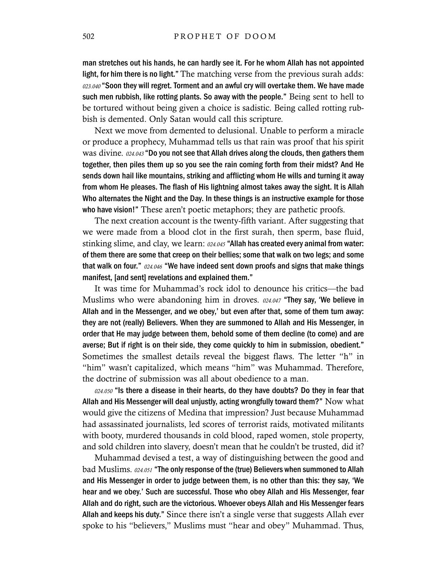man stretches out his hands, he can hardly see it. For he whom Allah has not appointed light, for him there is no light." The matching verse from the previous surah adds: *023.040* "Soon they will regret. Torment and an awful cry will overtake them. We have made such men rubbish, like rotting plants. So away with the people." Being sent to hell to be tortured without being given a choice is sadistic. Being called rotting rubbish is demented. Only Satan would call this scripture.

Next we move from demented to delusional. Unable to perform a miracle or produce a prophecy, Muhammad tells us that rain was proof that his spirit was divine. *024.043* "Do you not see that Allah drives along the clouds, then gathers them together, then piles them up so you see the rain coming forth from their midst? And He sends down hail like mountains, striking and afflicting whom He wills and turning it away from whom He pleases. The flash of His lightning almost takes away the sight. It is Allah Who alternates the Night and the Day. In these things is an instructive example for those who have vision!" These aren't poetic metaphors; they are pathetic proofs.

The next creation account is the twenty-fifth variant. After suggesting that we were made from a blood clot in the first surah, then sperm, base fluid, stinking slime, and clay, we learn: *024.045* "Allah has created every animal from water: of them there are some that creep on their bellies; some that walk on two legs; and some that walk on four." *024.046* "We have indeed sent down proofs and signs that make things manifest, [and sent] revelations and explained them."

It was time for Muhammad's rock idol to denounce his critics—the bad Muslims who were abandoning him in droves. *024.047* "They say, 'We believe in Allah and in the Messenger, and we obey,' but even after that, some of them turn away: they are not (really) Believers. When they are summoned to Allah and His Messenger, in order that He may judge between them, behold some of them decline (to come) and are averse; But if right is on their side, they come quickly to him in submission, obedient." Sometimes the smallest details reveal the biggest flaws. The letter "h" in "him" wasn't capitalized, which means "him" was Muhammad. Therefore, the doctrine of submission was all about obedience to a man.

*024.050* "Is there a disease in their hearts, do they have doubts? Do they in fear that Allah and His Messenger will deal unjustly, acting wrongfully toward them?" Now what would give the citizens of Medina that impression? Just because Muhammad had assassinated journalists, led scores of terrorist raids, motivated militants with booty, murdered thousands in cold blood, raped women, stole property, and sold children into slavery, doesn't mean that he couldn't be trusted, did it?

Muhammad devised a test, a way of distinguishing between the good and bad Muslims. *024.051* "The only response of the (true) Believers when summoned to Allah and His Messenger in order to judge between them, is no other than this: they say, 'We hear and we obey.' Such are successful. Those who obey Allah and His Messenger, fear Allah and do right, such are the victorious. Whoever obeys Allah and His Messenger fears Allah and keeps his duty." Since there isn't a single verse that suggests Allah ever spoke to his "believers," Muslims must "hear and obey" Muhammad. Thus,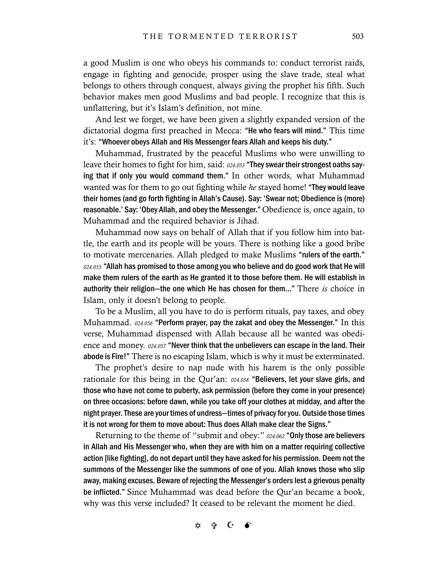a good Muslim is one who obeys his commands to: conduct terrorist raids, engage in fighting and genocide, prosper using the slave trade, steal what belongs to others through conquest, always giving the prophet his fifth. Such behavior makes men good Muslims and bad people. I recognize that this is unflattering, but it's Islam's definition, not mine.

And lest we forget, we have been given a slightly expanded version of the dictatorial dogma first preached in Mecca: "He who fears will mind." This time it's: "Whoever obeys Allah and His Messenger fears Allah and keeps his duty."

Muhammad, frustrated by the peaceful Muslims who were unwilling to leave their homes to fight for him, said: *024.053* "They swear their strongest oaths saying that if only you would command them." In other words, what Muhammad wanted was for them to go out fighting while *he* stayed home! "They would leave their homes (and go forth fighting in Allah's Cause). Say: 'Swear not; Obedience is (more) reasonable.' Say: 'Obey Allah, and obey the Messenger." Obedience is, once again, to Muhammad and the required behavior is Jihad.

Muhammad now says on behalf of Allah that if you follow him into battle, the earth and its people will be yours. There is nothing like a good bribe to motivate mercenaries. Allah pledged to make Muslims "rulers of the earth." *024.055* "Allah has promised to those among you who believe and do good work that He will make them rulers of the earth as He granted it to those before them. He will establish in authority their religion—the one which He has chosen for them…" There *is* choice in Islam, only it doesn't belong to people.

To be a Muslim, all you have to do is perform rituals, pay taxes, and obey Muhammad. *024.056* "Perform prayer, pay the zakat and obey the Messenger." In this verse, Muhammad dispensed with Allah because all he wanted was obedience and money. *024.057* "Never think that the unbelievers can escape in the land. Their abode is Fire!" There is no escaping Islam, which is why it must be exterminated.

The prophet's desire to nap nude with his harem is the only possible rationale for this being in the Qur'an: *024.058* "Believers, let your slave girls, and those who have not come to puberty, ask permission (before they come in your presence) on three occasions: before dawn, while you take off your clothes at midday, and after the night prayer. These are your times of undress—times of privacy for you. Outside those times it is not wrong for them to move about: Thus does Allah make clear the Signs."

Returning to the theme of "submit and obey:" *024.062* "Only those are believers in Allah and His Messenger who, when they are with him on a matter requiring collective action [like fighting], do not depart until they have asked for his permission. Deem not the summons of the Messenger like the summons of one of you. Allah knows those who slip away, making excuses. Beware of rejecting the Messenger's orders lest a grievous penalty be inflicted." Since Muhammad was dead before the Qur'an became a book, why was this verse included? It ceased to be relevant the moment he died.

**☆ ☆ ☆ ☆**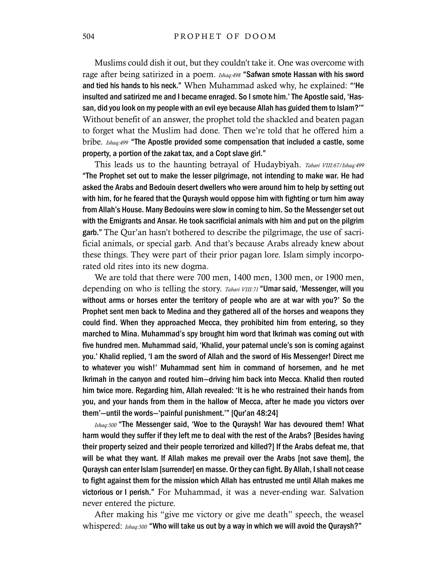Muslims could dish it out, but they couldn't take it. One was overcome with rage after being satirized in a poem. *Ishaq:498* "Safwan smote Hassan with his sword and tied his hands to his neck." When Muhammad asked why, he explained: "'He insulted and satirized me and I became enraged. So I smote him.' The Apostle said, 'Hassan, did you look on my people with an evil eye because Allah has guided them to Islam?'" Without benefit of an answer, the prophet told the shackled and beaten pagan to forget what the Muslim had done. Then we're told that he offered him a bribe. *Ishaq:499* "The Apostle provided some compensation that included a castle, some property, a portion of the zakat tax, and a Copt slave girl."

This leads us to the haunting betrayal of Hudaybiyah. *Tabari VIII:67/Ishaq:499* "The Prophet set out to make the lesser pilgrimage, not intending to make war. He had asked the Arabs and Bedouin desert dwellers who were around him to help by setting out with him, for he feared that the Quraysh would oppose him with fighting or turn him away from Allah's House. Many Bedouins were slow in coming to him. So the Messenger set out with the Emigrants and Ansar. He took sacrificial animals with him and put on the pilgrim garb." The Qur'an hasn't bothered to describe the pilgrimage, the use of sacrificial animals, or special garb. And that's because Arabs already knew about these things. They were part of their prior pagan lore. Islam simply incorporated old rites into its new dogma.

We are told that there were 700 men, 1400 men, 1300 men, or 1900 men, depending on who is telling the story. *Tabari VIII:71* "Umar said, 'Messenger, will you without arms or horses enter the territory of people who are at war with you?' So the Prophet sent men back to Medina and they gathered all of the horses and weapons they could find. When they approached Mecca, they prohibited him from entering, so they marched to Mina. Muhammad's spy brought him word that Ikrimah was coming out with five hundred men. Muhammad said, 'Khalid, your paternal uncle's son is coming against you.' Khalid replied, 'I am the sword of Allah and the sword of His Messenger! Direct me to whatever you wish!' Muhammad sent him in command of horsemen, and he met Ikrimah in the canyon and routed him—driving him back into Mecca. Khalid then routed him twice more. Regarding him, Allah revealed: 'It is he who restrained their hands from you, and your hands from them in the hallow of Mecca, after he made you victors over them'—until the words—'painful punishment.'" [Qur'an 48:24]

*Ishaq:500* "The Messenger said, 'Woe to the Quraysh! War has devoured them! What harm would they suffer if they left me to deal with the rest of the Arabs? [Besides having their property seized and their people terrorized and killed?] If the Arabs defeat me, that will be what they want. If Allah makes me prevail over the Arabs [not save them], the Quraysh can enter Islam [surrender] en masse. Or they can fight. By Allah, I shall not cease to fight against them for the mission which Allah has entrusted me until Allah makes me victorious or I perish." For Muhammad, it was a never-ending war. Salvation never entered the picture.

After making his "give me victory or give me death" speech, the weasel whispered: *Ishaq:500* "Who will take us out by a way in which we will avoid the Quraysh?"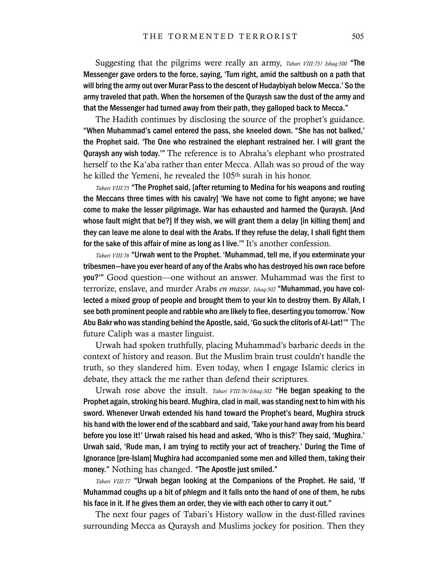Suggesting that the pilgrims were really an army, *Tabari VIII:73/ Ishaq:500* "The Messenger gave orders to the force, saying, 'Turn right, amid the saltbush on a path that will bring the army out over Murar Pass to the descent of Hudaybiyah below Mecca.' So the army traveled that path. When the horsemen of the Quraysh saw the dust of the army and that the Messenger had turned away from their path, they galloped back to Mecca."

The Hadith continues by disclosing the source of the prophet's guidance. "When Muhammad's camel entered the pass, she kneeled down. "She has not balked,' the Prophet said. 'The One who restrained the elephant restrained her. I will grant the Quraysh any wish today.'" The reference is to Abraha's elephant who prostrated herself to the Ka'aba rather than enter Mecca. Allah was so proud of the way he killed the Yemeni, he revealed the 105<sup>th</sup> surah in his honor.

*Tabari VIII:75* "The Prophet said, [after returning to Medina for his weapons and routing the Meccans three times with his cavalry] 'We have not come to fight anyone; we have come to make the lesser pilgrimage. War has exhausted and harmed the Quraysh. [And whose fault might that be?] If they wish, we will grant them a delay [in killing them] and they can leave me alone to deal with the Arabs. If they refuse the delay, I shall fight them for the sake of this affair of mine as long as I live.'" It's another confession.

*Tabari VIII:76* "Urwah went to the Prophet. 'Muhammad, tell me, if you exterminate your tribesmen—have you ever heard of any of the Arabs who has destroyed his own race before you?'" Good question—one without an answer. Muhammad was the first to terrorize, enslave, and murder Arabs *en masse*. *Ishaq:502* "Muhammad, you have collected a mixed group of people and brought them to your kin to destroy them. By Allah, I see both prominent people and rabble who are likely to flee, deserting you tomorrow.' Now Abu Bakr who was standing behind the Apostle, said, 'Go suck the clitoris of Al-Lat!'" The future Caliph was a master linguist.

Urwah had spoken truthfully, placing Muhammad's barbaric deeds in the context of history and reason. But the Muslim brain trust couldn't handle the truth, so they slandered him. Even today, when I engage Islamic clerics in debate, they attack the me rather than defend their scriptures.

Urwah rose above the insult. *Tabari VIII:76/Ishaq:502* "He began speaking to the Prophet again, stroking his beard. Mughira, clad in mail, was standing next to him with his sword. Whenever Urwah extended his hand toward the Prophet's beard, Mughira struck his hand with the lower end of the scabbard and said, 'Take your hand away from his beard before you lose it!' Urwah raised his head and asked, 'Who is this?' They said, 'Mughira.' Urwah said, 'Rude man, I am trying to rectify your act of treachery.' During the Time of Ignorance [pre-Islam] Mughira had accompanied some men and killed them, taking their money." Nothing has changed. "The Apostle just smiled."

*Tabari VIII:77* "Urwah began looking at the Companions of the Prophet. He said, 'If Muhammad coughs up a bit of phlegm and it falls onto the hand of one of them, he rubs his face in it. If he gives them an order, they vie with each other to carry it out."

The next four pages of Tabari's History wallow in the dust-filled ravines surrounding Mecca as Quraysh and Muslims jockey for position. Then they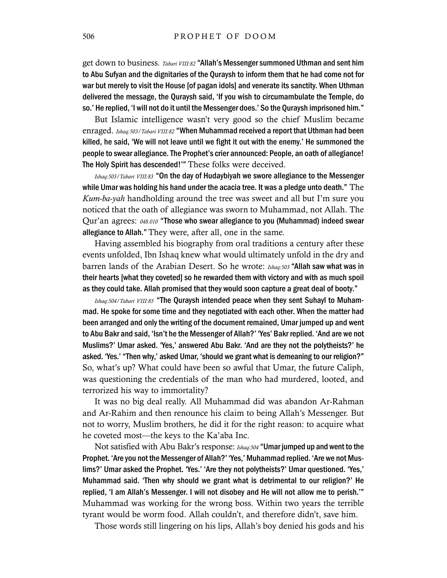get down to business. *Tabari VIII:82* "Allah's Messenger summoned Uthman and sent him to Abu Sufyan and the dignitaries of the Quraysh to inform them that he had come not for war but merely to visit the House [of pagan idols] and venerate its sanctity. When Uthman delivered the message, the Quraysh said, 'If you wish to circumambulate the Temple, do so.' He replied, 'I will not do it until the Messenger does.' So the Quraysh imprisoned him."

But Islamic intelligence wasn't very good so the chief Muslim became enraged. *Ishaq:503/Tabari VIII:82* "When Muhammad received a report that Uthman had been killed, he said, 'We will not leave until we fight it out with the enemy.' He summoned the people to swear allegiance. The Prophet's crier announced: People, an oath of allegiance! The Holy Spirit has descended!'" These folks were deceived.

*Ishaq:503/Tabari VIII:83* "On the day of Hudaybiyah we swore allegiance to the Messenger while Umar was holding his hand under the acacia tree. It was a pledge unto death." The *Kum-ba-yah* handholding around the tree was sweet and all but I'm sure you noticed that the oath of allegiance was sworn to Muhammad, not Allah. The Qur'an agrees: *048.010* "Those who swear allegiance to you (Muhammad) indeed swear allegiance to Allah." They were, after all, one in the same.

Having assembled his biography from oral traditions a century after these events unfolded, Ibn Ishaq knew what would ultimately unfold in the dry and barren lands of the Arabian Desert. So he wrote: *Ishaq:503* "Allah saw what was in their hearts [what they coveted] so he rewarded them with victory and with as much spoil as they could take. Allah promised that they would soon capture a great deal of booty."

*Ishaq:504/Tabari VIII:85* "The Quraysh intended peace when they sent Suhayl to Muhammad. He spoke for some time and they negotiated with each other. When the matter had been arranged and only the writing of the document remained, Umar jumped up and went to Abu Bakr and said, 'Isn't he the Messenger of Allah?' 'Yes' Bakr replied. 'And are we not Muslims?' Umar asked. 'Yes,' answered Abu Bakr. 'And are they not the polytheists?' he asked. 'Yes.' "Then why,' asked Umar, 'should we grant what is demeaning to our religion?" So, what's up? What could have been so awful that Umar, the future Caliph, was questioning the credentials of the man who had murdered, looted, and terrorized his way to immortality?

It was no big deal really. All Muhammad did was abandon Ar-Rahman and Ar-Rahim and then renounce his claim to being Allah's Messenger. But not to worry, Muslim brothers, he did it for the right reason: to acquire what he coveted most—the keys to the Ka'aba Inc.

Not satisfied with Abu Bakr's response: *Ishaq:504* "Umar jumped up and went to the Prophet. 'Are you not the Messenger of Allah?' 'Yes,' Muhammad replied. 'Are we not Muslims?' Umar asked the Prophet. 'Yes.' 'Are they not polytheists?' Umar questioned. 'Yes,' Muhammad said. 'Then why should we grant what is detrimental to our religion?' He replied, 'I am Allah's Messenger. I will not disobey and He will not allow me to perish.'" Muhammad was working for the wrong boss. Within two years the terrible tyrant would be worm food. Allah couldn't, and therefore didn't, save him.

Those words still lingering on his lips, Allah's boy denied his gods and his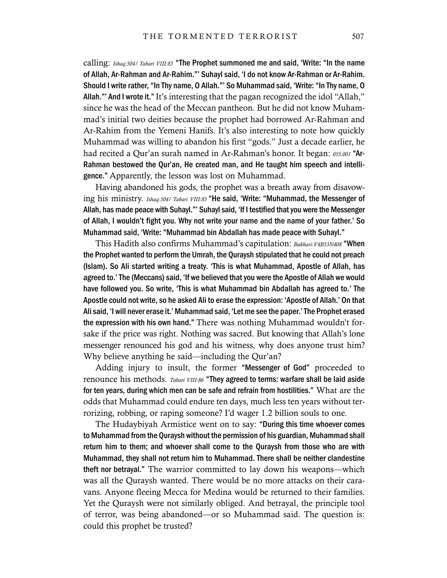calling: *Ishaq:504/ Tabari VIII:85* "The Prophet summoned me and said, 'Write: "In the name of Allah, Ar-Rahman and Ar-Rahim."' Suhayl said, 'I do not know Ar-Rahman or Ar-Rahim. Should I write rather, "In Thy name, O Allah."' So Muhammad said, 'Write: "In Thy name, O Allah."' And I wrote it." It's interesting that the pagan recognized the idol "Allah," since he was the head of the Meccan pantheon. But he did not know Muhammad's initial two deities because the prophet had borrowed Ar-Rahman and Ar-Rahim from the Yemeni Hanifs. It's also interesting to note how quickly Muhammad was willing to abandon his first "gods." Just a decade earlier, he had recited a Qur'an surah named in Ar-Rahman's honor. It began: *055.001* "Ar-Rahman bestowed the Qur'an, He created man, and He taught him speech and intelligence." Apparently, the lesson was lost on Muhammad.

Having abandoned his gods, the prophet was a breath away from disavowing his ministry. *Ishaq:504/ Tabari VIII:85* "He said, 'Write: "Muhammad, the Messenger of Allah, has made peace with Suhayl."' Suhayl said, 'If I testified that you were the Messenger of Allah, I wouldn't fight you. Why not write your name and the name of your father.' So Muhammad said, 'Write: "Muhammad bin Abdallah has made peace with Suhayl."

This Hadith also confirms Muhammad's capitulation: *Bukhari:V4B53N408* "When the Prophet wanted to perform the Umrah, the Quraysh stipulated that he could not preach (Islam). So Ali started writing a treaty. 'This is what Muhammad, Apostle of Allah, has agreed to.' The (Meccans) said, 'If we believed that you were the Apostle of Allah we would have followed you. So write, 'This is what Muhammad bin Abdallah has agreed to.' The Apostle could not write, so he asked Ali to erase the expression: 'Apostle of Allah.' On that Ali said, 'I will never erase it.' Muhammad said, 'Let me see the paper.' The Prophet erased the expression with his own hand." There was nothing Muhammad wouldn't forsake if the price was right. Nothing was sacred. But knowing that Allah's lone messenger renounced his god and his witness, why does anyone trust him? Why believe anything he said—including the Qur'an?

Adding injury to insult, the former "Messenger of God" proceeded to renounce his methods. *Tabari VIII:86* "They agreed to terms: warfare shall be laid aside for ten years, during which men can be safe and refrain from hostilities." What are the odds that Muhammad could endure ten days, much less ten years without terrorizing, robbing, or raping someone? I'd wager 1.2 billion souls to one.

The Hudaybiyah Armistice went on to say: "During this time whoever comes to Muhammad from the Quraysh without the permission of his guardian, Muhammad shall return him to them; and whoever shall come to the Quraysh from those who are with Muhammad, they shall not return him to Muhammad. There shall be neither clandestine theft nor betrayal." The warrior committed to lay down his weapons—which was all the Quraysh wanted. There would be no more attacks on their caravans. Anyone fleeing Mecca for Medina would be returned to their families. Yet the Quraysh were not similarly obliged. And betrayal, the principle tool of terror, was being abandoned—or so Muhammad said. The question is: could this prophet be trusted?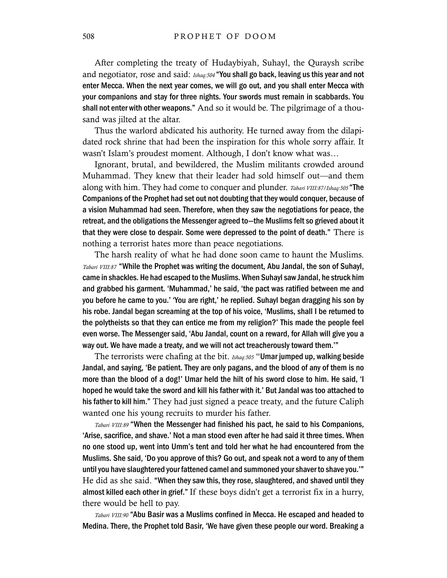After completing the treaty of Hudaybiyah, Suhayl, the Quraysh scribe and negotiator, rose and said: *Ishaq:504* "You shall go back, leaving us this year and not enter Mecca. When the next year comes, we will go out, and you shall enter Mecca with your companions and stay for three nights. Your swords must remain in scabbards. You shall not enter with other weapons." And so it would be. The pilgrimage of a thousand was jilted at the altar.

Thus the warlord abdicated his authority. He turned away from the dilapidated rock shrine that had been the inspiration for this whole sorry affair. It wasn't Islam's proudest moment. Although, I don't know what was…

Ignorant, brutal, and bewildered, the Muslim militants crowded around Muhammad. They knew that their leader had sold himself out—and them along with him. They had come to conquer and plunder. *Tabari VIII:87/Ishaq:505* "The Companions of the Prophet had set out not doubting that they would conquer, because of a vision Muhammad had seen. Therefore, when they saw the negotiations for peace, the retreat, and the obligations the Messenger agreed to—the Muslims felt so grieved about it that they were close to despair. Some were depressed to the point of death." There is nothing a terrorist hates more than peace negotiations.

The harsh reality of what he had done soon came to haunt the Muslims. *Tabari VIII:87* "While the Prophet was writing the document, Abu Jandal, the son of Suhayl, came in shackles. He had escaped to the Muslims. When Suhayl saw Jandal, he struck him and grabbed his garment. 'Muhammad,' he said, 'the pact was ratified between me and you before he came to you.' 'You are right,' he replied. Suhayl began dragging his son by his robe. Jandal began screaming at the top of his voice, 'Muslims, shall I be returned to the polytheists so that they can entice me from my religion?' This made the people feel even worse. The Messenger said, 'Abu Jandal, count on a reward, for Allah will give you a way out. We have made a treaty, and we will not act treacherously toward them."

The terrorists were chafing at the bit. *Ishaq:505* "Umar jumped up, walking beside Jandal, and saying, 'Be patient. They are only pagans, and the blood of any of them is no more than the blood of a dog!' Umar held the hilt of his sword close to him. He said, 'I hoped he would take the sword and kill his father with it.' But Jandal was too attached to his father to kill him." They had just signed a peace treaty, and the future Caliph wanted one his young recruits to murder his father.

*Tabari VIII:89* "When the Messenger had finished his pact, he said to his Companions, 'Arise, sacrifice, and shave.' Not a man stood even after he had said it three times. When no one stood up, went into Umm's tent and told her what he had encountered from the Muslims. She said, 'Do you approve of this? Go out, and speak not a word to any of them until you have slaughtered your fattened camel and summoned your shaver to shave you.'" He did as she said. "When they saw this, they rose, slaughtered, and shaved until they almost killed each other in grief." If these boys didn't get a terrorist fix in a hurry, there would be hell to pay.

*Tabari VIII:90* "Abu Basir was a Muslims confined in Mecca. He escaped and headed to Medina. There, the Prophet told Basir, 'We have given these people our word. Breaking a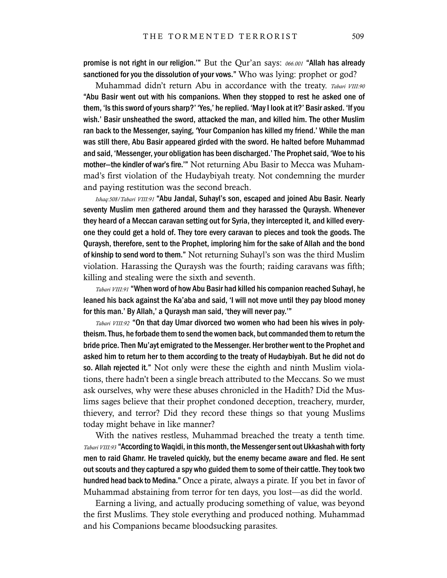promise is not right in our religion.'" But the Qur'an says: *066.001* "Allah has already sanctioned for you the dissolution of your vows." Who was lying: prophet or god?

Muhammad didn't return Abu in accordance with the treaty. *Tabari VIII:90* "Abu Basir went out with his companions. When they stopped to rest he asked one of them, 'Is this sword of yours sharp?' 'Yes,' he replied. 'May I look at it?' Basir asked. 'If you wish.' Basir unsheathed the sword, attacked the man, and killed him. The other Muslim ran back to the Messenger, saying, 'Your Companion has killed my friend.' While the man was still there, Abu Basir appeared girded with the sword. He halted before Muhammad and said, 'Messenger, your obligation has been discharged.' The Prophet said, 'Woe to his mother—the kindler of war's fire.'" Not returning Abu Basir to Mecca was Muhammad's first violation of the Hudaybiyah treaty. Not condemning the murder and paying restitution was the second breach.

*Ishaq:508/Tabari VIII:91* "Abu Jandal, Suhayl's son, escaped and joined Abu Basir. Nearly seventy Muslim men gathered around them and they harassed the Quraysh. Whenever they heard of a Meccan caravan setting out for Syria, they intercepted it, and killed everyone they could get a hold of. They tore every caravan to pieces and took the goods. The Quraysh, therefore, sent to the Prophet, imploring him for the sake of Allah and the bond of kinship to send word to them." Not returning Suhayl's son was the third Muslim violation. Harassing the Quraysh was the fourth; raiding caravans was fifth; killing and stealing were the sixth and seventh.

*Tabari VIII:91* "When word of how Abu Basir had killed his companion reached Suhayl, he leaned his back against the Ka'aba and said, 'I will not move until they pay blood money for this man.' By Allah,' a Quraysh man said, 'they will never pay.'"

*Tabari VIII:92* "On that day Umar divorced two women who had been his wives in polytheism. Thus, he forbade them to send the women back, but commanded them to return the bride price. Then Mu'ayt emigrated to the Messenger. Her brother went to the Prophet and asked him to return her to them according to the treaty of Hudaybiyah. But he did not do so. Allah rejected it." Not only were these the eighth and ninth Muslim violations, there hadn't been a single breach attributed to the Meccans. So we must ask ourselves, why were these abuses chronicled in the Hadith? Did the Muslims sages believe that their prophet condoned deception, treachery, murder, thievery, and terror? Did they record these things so that young Muslims today might behave in like manner?

With the natives restless, Muhammad breached the treaty a tenth time. *Tabari VIII:93* "According to Waqidi, in this month, the Messenger sent out Ukkashah with forty men to raid Ghamr. He traveled quickly, but the enemy became aware and fled. He sent out scouts and they captured a spy who guided them to some of their cattle. They took two hundred head back to Medina." Once a pirate, always a pirate. If you bet in favor of Muhammad abstaining from terror for ten days, you lost—as did the world.

Earning a living, and actually producing something of value, was beyond the first Muslims. They stole everything and produced nothing. Muhammad and his Companions became bloodsucking parasites.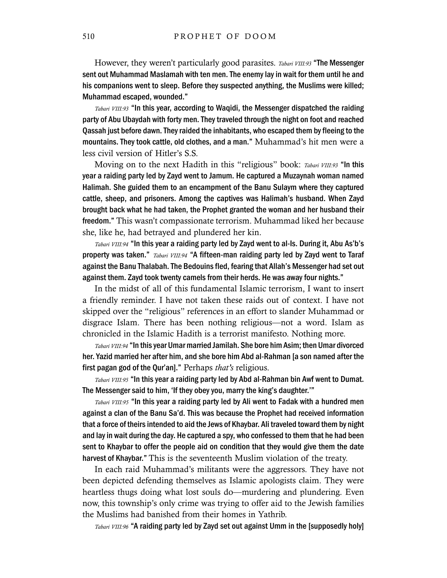However, they weren't particularly good parasites. *Tabari VIII:93* "The Messenger sent out Muhammad Maslamah with ten men. The enemy lay in wait for them until he and his companions went to sleep. Before they suspected anything, the Muslims were killed; Muhammad escaped, wounded."

*Tabari VIII:93* "In this year, according to Waqidi, the Messenger dispatched the raiding party of Abu Ubaydah with forty men. They traveled through the night on foot and reached Qassah just before dawn. They raided the inhabitants, who escaped them by fleeing to the mountains. They took cattle, old clothes, and a man." Muhammad's hit men were a less civil version of Hitler's S.S.

Moving on to the next Hadith in this "religious" book: *Tabari VIII:93* "In this year a raiding party led by Zayd went to Jamum. He captured a Muzaynah woman named Halimah. She guided them to an encampment of the Banu Sulaym where they captured cattle, sheep, and prisoners. Among the captives was Halimah's husband. When Zayd brought back what he had taken, the Prophet granted the woman and her husband their freedom." This wasn't compassionate terrorism. Muhammad liked her because she, like he, had betrayed and plundered her kin.

*Tabari VIII:94* "In this year a raiding party led by Zayd went to al-Is. During it, Abu As'b's property was taken." *Tabari VIII:94* "A fifteen-man raiding party led by Zayd went to Taraf against the Banu Thalabah. The Bedouins fled, fearing that Allah's Messenger had set out against them. Zayd took twenty camels from their herds. He was away four nights."

In the midst of all of this fundamental Islamic terrorism, I want to insert a friendly reminder. I have not taken these raids out of context. I have not skipped over the "religious" references in an effort to slander Muhammad or disgrace Islam. There has been nothing religious—not a word. Islam as chronicled in the Islamic Hadith is a terrorist manifesto. Nothing more.

*Tabari VIII:94* "In this year Umar married Jamilah. She bore him Asim; then Umar divorced her. Yazid married her after him, and she bore him Abd al-Rahman [a son named after the first pagan god of the Qur'an]." Perhaps *that's* religious.

*Tabari VIII:95* "In this year a raiding party led by Abd al-Rahman bin Awf went to Dumat. The Messenger said to him, 'If they obey you, marry the king's daughter.'"

*Tabari VIII:95* "In this year a raiding party led by Ali went to Fadak with a hundred men against a clan of the Banu Sa'd. This was because the Prophet had received information that a force of theirs intended to aid the Jews of Khaybar. Ali traveled toward them by night and lay in wait during the day. He captured a spy, who confessed to them that he had been sent to Khaybar to offer the people aid on condition that they would give them the date harvest of Khaybar." This is the seventeenth Muslim violation of the treaty.

In each raid Muhammad's militants were the aggressors. They have not been depicted defending themselves as Islamic apologists claim. They were heartless thugs doing what lost souls do—murdering and plundering. Even now, this township's only crime was trying to offer aid to the Jewish families the Muslims had banished from their homes in Yathrib.

*Tabari VIII:96* "A raiding party led by Zayd set out against Umm in the [supposedly holy]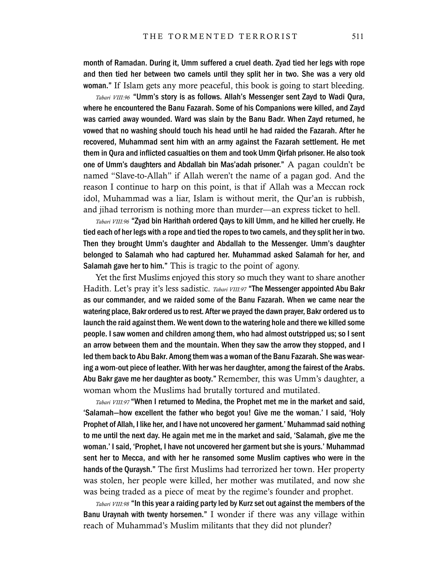month of Ramadan. During it, Umm suffered a cruel death. Zyad tied her legs with rope and then tied her between two camels until they split her in two. She was a very old woman." If Islam gets any more peaceful, this book is going to start bleeding.

*Tabari VIII:96* "Umm's story is as follows. Allah's Messenger sent Zayd to Wadi Qura, where he encountered the Banu Fazarah. Some of his Companions were killed, and Zayd was carried away wounded. Ward was slain by the Banu Badr. When Zayd returned, he vowed that no washing should touch his head until he had raided the Fazarah. After he recovered, Muhammad sent him with an army against the Fazarah settlement. He met them in Qura and inflicted casualties on them and took Umm Qirfah prisoner. He also took one of Umm's daughters and Abdallah bin Mas'adah prisoner." A pagan couldn't be named "Slave-to-Allah" if Allah weren't the name of a pagan god. And the reason I continue to harp on this point, is that if Allah was a Meccan rock idol, Muhammad was a liar, Islam is without merit, the Qur'an is rubbish, and jihad terrorism is nothing more than murder—an express ticket to hell.

*Tabari VIII:96* "Zyad bin Harithah ordered Qays to kill Umm, and he killed her cruelly. He tied each of her legs with a rope and tied the ropes to two camels, and they split her in two. Then they brought Umm's daughter and Abdallah to the Messenger. Umm's daughter belonged to Salamah who had captured her. Muhammad asked Salamah for her, and Salamah gave her to him." This is tragic to the point of agony.

Yet the first Muslims enjoyed this story so much they want to share another Hadith. Let's pray it's less sadistic. *Tabari VIII:97* "The Messenger appointed Abu Bakr as our commander, and we raided some of the Banu Fazarah. When we came near the watering place, Bakr ordered us to rest. After we prayed the dawn prayer, Bakr ordered us to launch the raid against them. We went down to the watering hole and there we killed some people. I saw women and children among them, who had almost outstripped us; so I sent an arrow between them and the mountain. When they saw the arrow they stopped, and I led them back to Abu Bakr. Among them was a woman of the Banu Fazarah. She was wearing a worn-out piece of leather. With her was her daughter, among the fairest of the Arabs. Abu Bakr gave me her daughter as booty." Remember, this was Umm's daughter, a woman whom the Muslims had brutally tortured and mutilated.

*Tabari VIII:97* "When I returned to Medina, the Prophet met me in the market and said, 'Salamah—how excellent the father who begot you! Give me the woman.' I said, 'Holy Prophet of Allah, I like her, and I have not uncovered her garment.' Muhammad said nothing to me until the next day. He again met me in the market and said, 'Salamah, give me the woman.' I said, 'Prophet, I have not uncovered her garment but she is yours.' Muhammad sent her to Mecca, and with her he ransomed some Muslim captives who were in the hands of the Quraysh." The first Muslims had terrorized her town. Her property was stolen, her people were killed, her mother was mutilated, and now she was being traded as a piece of meat by the regime's founder and prophet.

*Tabari VIII:98* "In this year a raiding party led by Kurz set out against the members of the Banu Uraynah with twenty horsemen." I wonder if there was any village within reach of Muhammad's Muslim militants that they did not plunder?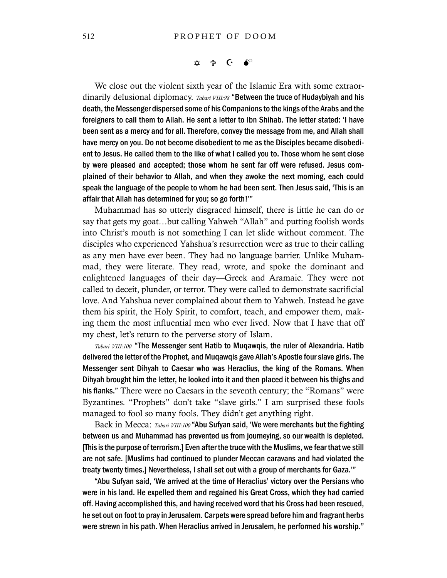@ = A 0

We close out the violent sixth year of the Islamic Era with some extraordinarily delusional diplomacy. *Tabari VIII:98* "Between the truce of Hudaybiyah and his death, the Messenger dispersed some of his Companions to the kings of the Arabs and the foreigners to call them to Allah. He sent a letter to Ibn Shihab. The letter stated: 'I have been sent as a mercy and for all. Therefore, convey the message from me, and Allah shall have mercy on you. Do not become disobedient to me as the Disciples became disobedient to Jesus. He called them to the like of what I called you to. Those whom he sent close by were pleased and accepted; those whom he sent far off were refused. Jesus complained of their behavior to Allah, and when they awoke the next morning, each could speak the language of the people to whom he had been sent. Then Jesus said, 'This is an affair that Allah has determined for you; so go forth!'"

Muhammad has so utterly disgraced himself, there is little he can do or say that gets my goat…but calling Yahweh "Allah" and putting foolish words into Christ's mouth is not something I can let slide without comment. The disciples who experienced Yahshua's resurrection were as true to their calling as any men have ever been. They had no language barrier. Unlike Muhammad, they were literate. They read, wrote, and spoke the dominant and enlightened languages of their day—Greek and Aramaic. They were not called to deceit, plunder, or terror. They were called to demonstrate sacrificial love. And Yahshua never complained about them to Yahweh. Instead he gave them his spirit, the Holy Spirit, to comfort, teach, and empower them, making them the most influential men who ever lived. Now that I have that off my chest, let's return to the perverse story of Islam.

*Tabari VIII:100* "The Messenger sent Hatib to Muqawqis, the ruler of Alexandria. Hatib delivered the letter of the Prophet, and Muqawqis gave Allah's Apostle four slave girls. The Messenger sent Dihyah to Caesar who was Heraclius, the king of the Romans. When Dihyah brought him the letter, he looked into it and then placed it between his thighs and his flanks." There were no Caesars in the seventh century; the "Romans" were Byzantines. "Prophets" don't take "slave girls." I am surprised these fools managed to fool so many fools. They didn't get anything right.

Back in Mecca: *Tabari VIII:100* "Abu Sufyan said, 'We were merchants but the fighting between us and Muhammad has prevented us from journeying, so our wealth is depleted. [This is the purpose of terrorism.] Even after the truce with the Muslims, we fear that we still are not safe. [Muslims had continued to plunder Meccan caravans and had violated the treaty twenty times.] Nevertheless, I shall set out with a group of merchants for Gaza.'"

"Abu Sufyan said, 'We arrived at the time of Heraclius' victory over the Persians who were in his land. He expelled them and regained his Great Cross, which they had carried off. Having accomplished this, and having received word that his Cross had been rescued, he set out on foot to pray in Jerusalem. Carpets were spread before him and fragrant herbs were strewn in his path. When Heraclius arrived in Jerusalem, he performed his worship."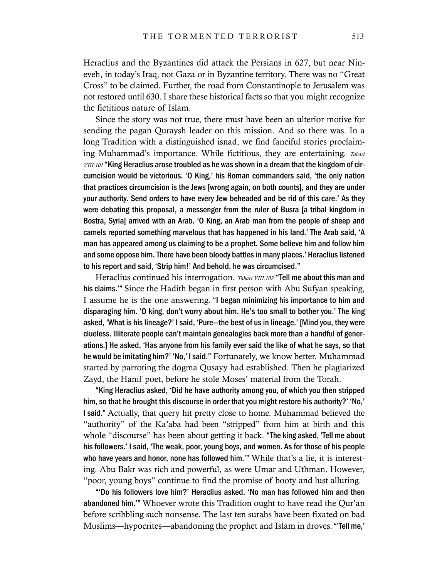Heraclius and the Byzantines did attack the Persians in 627, but near Nineveh, in today's Iraq, not Gaza or in Byzantine territory. There was no "Great Cross" to be claimed. Further, the road from Constantinople to Jerusalem was not restored until 630. I share these historical facts so that you might recognize the fictitious nature of Islam.

Since the story was not true, there must have been an ulterior motive for sending the pagan Quraysh leader on this mission. And so there was. In a long Tradition with a distinguished isnad, we find fanciful stories proclaiming Muhammad's importance. While fictitious, they are entertaining. *Tabari VIII:101* "King Heraclius arose troubled as he was shown in a dream that the kingdom of circumcision would be victorious. 'O King,' his Roman commanders said, 'the only nation that practices circumcision is the Jews [wrong again, on both counts], and they are under your authority. Send orders to have every Jew beheaded and be rid of this care.' As they were debating this proposal, a messenger from the ruler of Busra [a tribal kingdom in Bostra, Syria] arrived with an Arab. 'O King, an Arab man from the people of sheep and camels reported something marvelous that has happened in his land.' The Arab said, 'A man has appeared among us claiming to be a prophet. Some believe him and follow him and some oppose him. There have been bloody battles in many places.' Heraclius listened to his report and said, 'Strip him!' And behold, he was circumcised."

Heraclius continued his interrogation. *Tabari VIII:102* "Tell me about this man and his claims.'" Since the Hadith began in first person with Abu Sufyan speaking, I assume he is the one answering. "I began minimizing his importance to him and disparaging him. 'O king, don't worry about him. He's too small to bother you.' The king asked, 'What is his lineage?' I said, 'Pure—the best of us in lineage.' [Mind you, they were clueless. Illiterate people can't maintain genealogies back more than a handful of generations.] He asked, 'Has anyone from his family ever said the like of what he says, so that he would be imitating him?' 'No,' I said." Fortunately, we know better. Muhammad started by parroting the dogma Qusayy had established. Then he plagiarized Zayd, the Hanif poet, before he stole Moses' material from the Torah.

"King Heraclius asked, 'Did he have authority among you, of which you then stripped him, so that he brought this discourse in order that you might restore his authority?' 'No,' I said." Actually, that query hit pretty close to home. Muhammad believed the "authority" of the Ka'aba had been "stripped" from him at birth and this whole "discourse" has been about getting it back. "The king asked, 'Tell me about his followers.' I said, 'The weak, poor, young boys, and women. As for those of his people who have years and honor, none has followed him.'" While that's a lie, it is interesting. Abu Bakr was rich and powerful, as were Umar and Uthman. However, "poor, young boys" continue to find the promise of booty and lust alluring.

"'Do his followers love him?' Heraclius asked. 'No man has followed him and then abandoned him.'" Whoever wrote this Tradition ought to have read the Qur'an before scribbling such nonsense. The last ten surahs have been fixated on bad Muslims—hypocrites—abandoning the prophet and Islam in droves."'Tell me,'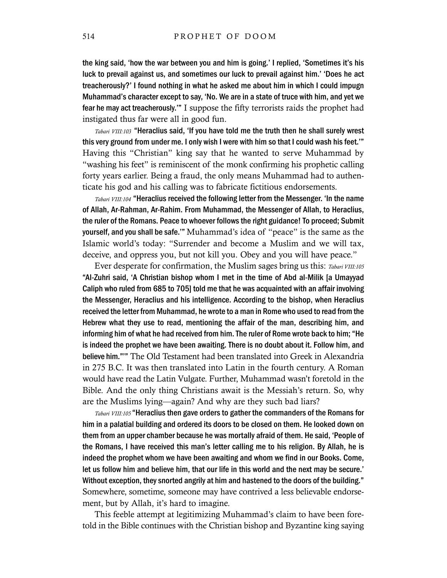the king said, 'how the war between you and him is going.' I replied, 'Sometimes it's his luck to prevail against us, and sometimes our luck to prevail against him.' 'Does he act treacherously?' I found nothing in what he asked me about him in which I could impugn Muhammad's character except to say, 'No. We are in a state of truce with him, and yet we fear he may act treacherously.'" I suppose the fifty terrorists raids the prophet had instigated thus far were all in good fun.

*Tabari VIII:103* "Heraclius said, 'If you have told me the truth then he shall surely wrest this very ground from under me. I only wish I were with him so that I could wash his feet.'" Having this "Christian" king say that he wanted to serve Muhammad by "washing his feet" is reminiscent of the monk confirming his prophetic calling forty years earlier. Being a fraud, the only means Muhammad had to authenticate his god and his calling was to fabricate fictitious endorsements.

*Tabari VIII:104* "Heraclius received the following letter from the Messenger. 'In the name of Allah, Ar-Rahman, Ar-Rahim. From Muhammad, the Messenger of Allah, to Heraclius, the ruler of the Romans. Peace to whoever follows the right guidance! To proceed; Submit yourself, and you shall be safe.'" Muhammad's idea of "peace" is the same as the Islamic world's today: "Surrender and become a Muslim and we will tax, deceive, and oppress you, but not kill you. Obey and you will have peace."

Ever desperate for confirmation, the Muslim sages bring us this: *Tabari VIII:105* "Al-Zuhri said, 'A Christian bishop whom I met in the time of Abd al-Milik [a Umayyad Caliph who ruled from 685 to 705] told me that he was acquainted with an affair involving the Messenger, Heraclius and his intelligence. According to the bishop, when Heraclius received the letter from Muhammad, he wrote to a man in Rome who used to read from the Hebrew what they use to read, mentioning the affair of the man, describing him, and informing him of what he had received from him. The ruler of Rome wrote back to him; "He is indeed the prophet we have been awaiting. There is no doubt about it. Follow him, and believe him."'" The Old Testament had been translated into Greek in Alexandria in 275 B.C. It was then translated into Latin in the fourth century. A Roman would have read the Latin Vulgate. Further, Muhammad wasn't foretold in the Bible. And the only thing Christians await is the Messiah's return. So, why are the Muslims lying—again? And why are they such bad liars?

*Tabari VIII:105* "Heraclius then gave orders to gather the commanders of the Romans for him in a palatial building and ordered its doors to be closed on them. He looked down on them from an upper chamber because he was mortally afraid of them. He said, 'People of the Romans, I have received this man's letter calling me to his religion. By Allah, he is indeed the prophet whom we have been awaiting and whom we find in our Books. Come, let us follow him and believe him, that our life in this world and the next may be secure.' Without exception, they snorted angrily at him and hastened to the doors of the building." Somewhere, sometime, someone may have contrived a less believable endorsement, but by Allah, it's hard to imagine.

This feeble attempt at legitimizing Muhammad's claim to have been foretold in the Bible continues with the Christian bishop and Byzantine king saying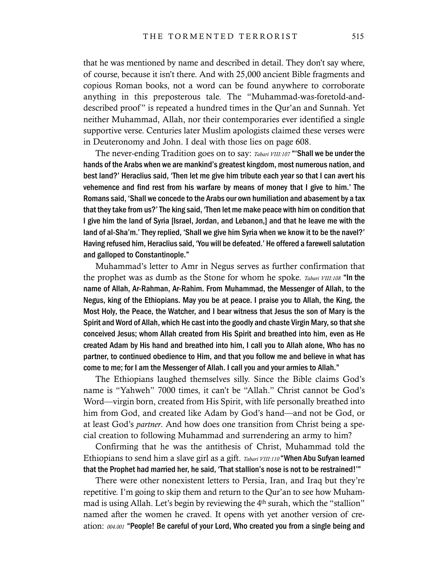that he was mentioned by name and described in detail. They don't say where, of course, because it isn't there. And with 25,000 ancient Bible fragments and copious Roman books, not a word can be found anywhere to corroborate anything in this preposterous tale. The "Muhammad-was-foretold-anddescribed proof" is repeated a hundred times in the Qur'an and Sunnah. Yet neither Muhammad, Allah, nor their contemporaries ever identified a single supportive verse. Centuries later Muslim apologists claimed these verses were in Deuteronomy and John. I deal with those lies on page 608.

The never-ending Tradition goes on to say: *Tabari VIII:107* "'Shall we be under the hands of the Arabs when we are mankind's greatest kingdom, most numerous nation, and best land?' Heraclius said, 'Then let me give him tribute each year so that I can avert his vehemence and find rest from his warfare by means of money that I give to him.' The Romans said, 'Shall we concede to the Arabs our own humiliation and abasement by a tax that they take from us?' The king said, 'Then let me make peace with him on condition that I give him the land of Syria [Israel, Jordan, and Lebanon,] and that he leave me with the land of al-Sha'm.' They replied, 'Shall we give him Syria when we know it to be the navel?' Having refused him, Heraclius said, 'You will be defeated.' He offered a farewell salutation and galloped to Constantinople."

Muhammad's letter to Amr in Negus serves as further confirmation that the prophet was as dumb as the Stone for whom he spoke. *Tabari VIII:108* "In the name of Allah, Ar-Rahman, Ar-Rahim. From Muhammad, the Messenger of Allah, to the Negus, king of the Ethiopians. May you be at peace. I praise you to Allah, the King, the Most Holy, the Peace, the Watcher, and I bear witness that Jesus the son of Mary is the Spirit and Word of Allah, which He cast into the goodly and chaste Virgin Mary, so that she conceived Jesus; whom Allah created from His Spirit and breathed into him, even as He created Adam by His hand and breathed into him, I call you to Allah alone, Who has no partner, to continued obedience to Him, and that you follow me and believe in what has come to me; for I am the Messenger of Allah. I call you and your armies to Allah."

The Ethiopians laughed themselves silly. Since the Bible claims God's name is "Yahweh" 7000 times, it can't be "Allah." Christ cannot be God's Word—virgin born, created from His Spirit, with life personally breathed into him from God, and created like Adam by God's hand—and not be God, or at least God's *partner*. And how does one transition from Christ being a special creation to following Muhammad and surrendering an army to him?

Confirming that he was the antithesis of Christ, Muhammad told the Ethiopians to send him a slave girl as a gift. *Tabari VIII:110* "When Abu Sufyan learned that the Prophet had married her, he said, 'That stallion's nose is not to be restrained!'"

There were other nonexistent letters to Persia, Iran, and Iraq but they're repetitive. I'm going to skip them and return to the Qur'an to see how Muhammad is using Allah. Let's begin by reviewing the 4<sup>th</sup> surah, which the "stallion" named after the women he craved. It opens with yet another version of creation: *004.001* "People! Be careful of your Lord, Who created you from a single being and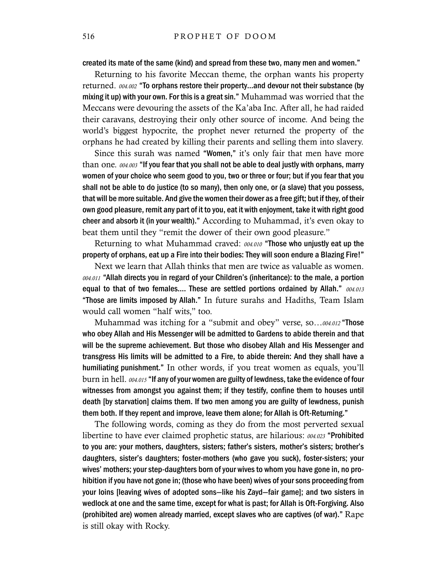created its mate of the same (kind) and spread from these two, many men and women."

Returning to his favorite Meccan theme, the orphan wants his property returned. *004.002* "To orphans restore their property…and devour not their substance (by mixing it up) with your own. For this is a great sin." Muhammad was worried that the Meccans were devouring the assets of the Ka'aba Inc. After all, he had raided their caravans, destroying their only other source of income. And being the world's biggest hypocrite, the prophet never returned the property of the orphans he had created by killing their parents and selling them into slavery.

Since this surah was named "Women," it's only fair that men have more than one. *004.003* "If you fear that you shall not be able to deal justly with orphans, marry women of your choice who seem good to you, two or three or four; but if you fear that you shall not be able to do justice (to so many), then only one, or (a slave) that you possess, that will be more suitable. And give the women their dower as a free gift; but if they, of their own good pleasure, remit any part of it to you, eat it with enjoyment, take it with right good cheer and absorb it (in your wealth)." According to Muhammad, it's even okay to beat them until they "remit the dower of their own good pleasure."

Returning to what Muhammad craved: *004.010* "Those who unjustly eat up the property of orphans, eat up a Fire into their bodies: They will soon endure a Blazing Fire!"

Next we learn that Allah thinks that men are twice as valuable as women. *004.011* "Allah directs you in regard of your Children's (inheritance): to the male, a portion equal to that of two females…. These are settled portions ordained by Allah." *004.013* "Those are limits imposed by Allah." In future surahs and Hadiths, Team Islam would call women "half wits," too.

Muhammad was itching for a "submit and obey" verse, so…*004.012* "Those who obey Allah and His Messenger will be admitted to Gardens to abide therein and that will be the supreme achievement. But those who disobey Allah and His Messenger and transgress His limits will be admitted to a Fire, to abide therein: And they shall have a humiliating punishment." In other words, if you treat women as equals, you'll burn in hell. *004.015* "If any of your women are guilty of lewdness, take the evidence of four witnesses from amongst you against them; if they testify, confine them to houses until death [by starvation] claims them. If two men among you are guilty of lewdness, punish them both. If they repent and improve, leave them alone; for Allah is Oft-Returning."

The following words, coming as they do from the most perverted sexual libertine to have ever claimed prophetic status, are hilarious: *004.023* "Prohibited to you are: your mothers, daughters, sisters; father's sisters, mother's sisters; brother's daughters, sister's daughters; foster-mothers (who gave you suck), foster-sisters; your wives' mothers; your step-daughters born of your wives to whom you have gone in, no prohibition if you have not gone in; (those who have been) wives of your sons proceeding from your loins [leaving wives of adopted sons—like his Zayd—fair game]; and two sisters in wedlock at one and the same time, except for what is past; for Allah is Oft-Forgiving. Also (prohibited are) women already married, except slaves who are captives (of war)." Rape is still okay with Rocky.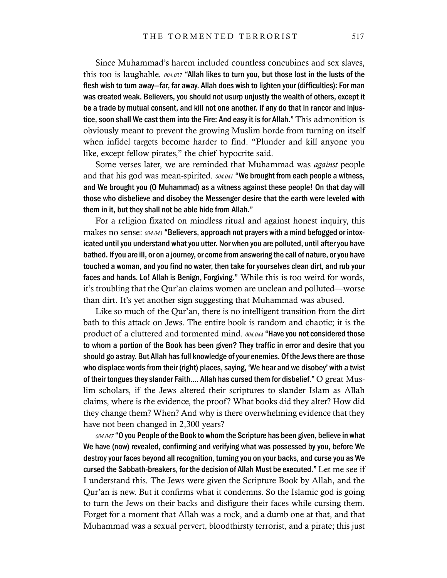Since Muhammad's harem included countless concubines and sex slaves, this too is laughable. *004.027* "Allah likes to turn you, but those lost in the lusts of the flesh wish to turn away—far, far away. Allah does wish to lighten your (difficulties): For man was created weak. Believers, you should not usurp unjustly the wealth of others, except it be a trade by mutual consent, and kill not one another. If any do that in rancor and injustice, soon shall We cast them into the Fire: And easy it is for Allah." This admonition is obviously meant to prevent the growing Muslim horde from turning on itself when infidel targets become harder to find. "Plunder and kill anyone you like, except fellow pirates," the chief hypocrite said.

Some verses later, we are reminded that Muhammad was *against* people and that his god was mean-spirited. *004.041* "We brought from each people a witness, and We brought you (O Muhammad) as a witness against these people! On that day will those who disbelieve and disobey the Messenger desire that the earth were leveled with them in it, but they shall not be able hide from Allah."

For a religion fixated on mindless ritual and against honest inquiry, this makes no sense: *004.043* "Believers, approach not prayers with a mind befogged or intoxicated until you understand what you utter. Nor when you are polluted, until after you have bathed. If you are ill, or on a journey, or come from answering the call of nature, or you have touched a woman, and you find no water, then take for yourselves clean dirt, and rub your faces and hands. Lo! Allah is Benign, Forgiving." While this is too weird for words, it's troubling that the Qur'an claims women are unclean and polluted—worse than dirt. It's yet another sign suggesting that Muhammad was abused.

Like so much of the Qur'an, there is no intelligent transition from the dirt bath to this attack on Jews. The entire book is random and chaotic; it is the product of a cluttered and tormented mind. *004.044* "Have you not considered those to whom a portion of the Book has been given? They traffic in error and desire that you should go astray. But Allah has full knowledge of your enemies. Of the Jews there are those who displace words from their (right) places, saying, 'We hear and we disobey' with a twist of their tongues they slander Faith…. Allah has cursed them for disbelief." O great Muslim scholars, if the Jews altered their scriptures to slander Islam as Allah claims, where is the evidence, the proof? What books did they alter? How did they change them? When? And why is there overwhelming evidence that they have not been changed in 2,300 years?

*004.047* "O you People of the Book to whom the Scripture has been given, believe in what We have (now) revealed, confirming and verifying what was possessed by you, before We destroy your faces beyond all recognition, turning you on your backs, and curse you as We cursed the Sabbath-breakers, for the decision of Allah Must be executed." Let me see if I understand this. The Jews were given the Scripture Book by Allah, and the Qur'an is new. But it confirms what it condemns. So the Islamic god is going to turn the Jews on their backs and disfigure their faces while cursing them. Forget for a moment that Allah was a rock, and a dumb one at that, and that Muhammad was a sexual pervert, bloodthirsty terrorist, and a pirate; this just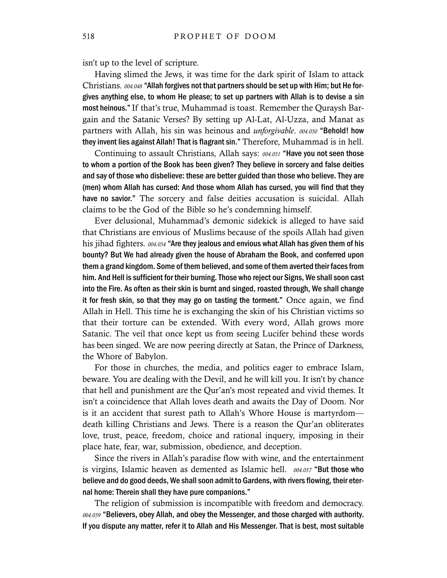isn't up to the level of scripture.

Having slimed the Jews, it was time for the dark spirit of Islam to attack Christians. *004.048* "Allah forgives not that partners should be set up with Him; but He forgives anything else, to whom He please; to set up partners with Allah is to devise a sin most heinous." If that's true, Muhammad is toast. Remember the Quraysh Bargain and the Satanic Verses? By setting up Al-Lat, Al-Uzza, and Manat as partners with Allah, his sin was heinous and *unforgivable*. *004.050* "Behold! how they invent lies against Allah! That is flagrant sin." Therefore, Muhammad is in hell.

Continuing to assault Christians, Allah says: *004.051* "Have you not seen those to whom a portion of the Book has been given? They believe in sorcery and false deities and say of those who disbelieve: these are better guided than those who believe. They are (men) whom Allah has cursed: And those whom Allah has cursed, you will find that they have no savior." The sorcery and false deities accusation is suicidal. Allah claims to be the God of the Bible so he's condemning himself.

Ever delusional, Muhammad's demonic sidekick is alleged to have said that Christians are envious of Muslims because of the spoils Allah had given his jihad fighters. *004.054* "Are they jealous and envious what Allah has given them of his bounty? But We had already given the house of Abraham the Book, and conferred upon them a grand kingdom. Some of them believed, and some of them averted their faces from him. And Hell is sufficient for their burning. Those who reject our Signs, We shall soon cast into the Fire. As often as their skin is burnt and singed, roasted through, We shall change it for fresh skin, so that they may go on tasting the torment." Once again, we find Allah in Hell. This time he is exchanging the skin of his Christian victims so that their torture can be extended. With every word, Allah grows more Satanic. The veil that once kept us from seeing Lucifer behind these words has been singed. We are now peering directly at Satan, the Prince of Darkness, the Whore of Babylon.

For those in churches, the media, and politics eager to embrace Islam, beware. You are dealing with the Devil, and he will kill you. It isn't by chance that hell and punishment are the Qur'an's most repeated and vivid themes. It isn't a coincidence that Allah loves death and awaits the Day of Doom. Nor is it an accident that surest path to Allah's Whore House is martyrdom death killing Christians and Jews. There is a reason the Qur'an obliterates love, trust, peace, freedom, choice and rational inquery, imposing in their place hate, fear, war, submission, obedience, and deception.

Since the rivers in Allah's paradise flow with wine, and the entertainment is virgins, Islamic heaven as demented as Islamic hell. *004.057* "But those who believe and do good deeds, We shall soon admit to Gardens, with rivers flowing, their eternal home: Therein shall they have pure companions."

The religion of submission is incompatible with freedom and democracy. *004.059* "Believers, obey Allah, and obey the Messenger, and those charged with authority. If you dispute any matter, refer it to Allah and His Messenger. That is best, most suitable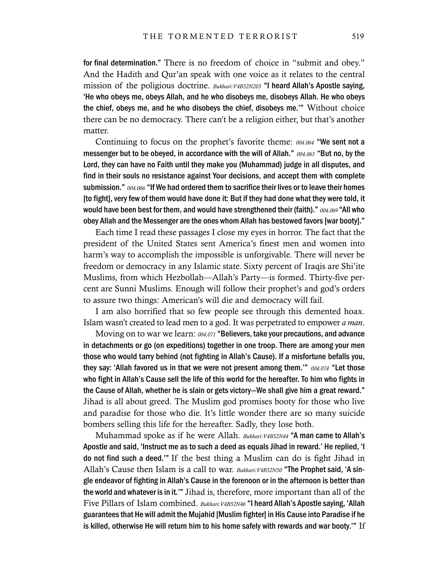for final determination." There is no freedom of choice in "submit and obey." And the Hadith and Qur'an speak with one voice as it relates to the central mission of the poligious doctrine. *Bukhari:V4B52N203* "I heard Allah's Apostle saying, 'He who obeys me, obeys Allah, and he who disobeys me, disobeys Allah. He who obeys the chief, obeys me, and he who disobeys the chief, disobeys me.'" Without choice there can be no democracy. There can't be a religion either, but that's another matter.

Continuing to focus on the prophet's favorite theme: *004.064* "We sent not a messenger but to be obeyed, in accordance with the will of Allah." *004.065* "But no, by the Lord, they can have no Faith until they make you (Muhammad) judge in all disputes, and find in their souls no resistance against Your decisions, and accept them with complete submission." *004.066* "If We had ordered them to sacrifice their lives or to leave their homes [to fight], very few of them would have done it: But if they had done what they were told, it would have been best for them, and would have strengthened their (faith)." *004.069* "All who obey Allah and the Messenger are the ones whom Allah has bestowed favors [war booty]."

Each time I read these passages I close my eyes in horror. The fact that the president of the United States sent America's finest men and women into harm's way to accomplish the impossible is unforgivable. There will never be freedom or democracy in any Islamic state. Sixty percent of Iraqis are Shi'ite Muslims, from which Hezbollah—Allah's Party—is formed. Thirty-five percent are Sunni Muslims. Enough will follow their prophet's and god's orders to assure two things: American's will die and democracy will fail.

I am also horrified that so few people see through this demented hoax. Islam wasn't created to lead men to a god. It was perpetrated to empower *a man*.

Moving on to war we learn: *004.071* "Believers, take your precautions, and advance in detachments or go (on expeditions) together in one troop. There are among your men those who would tarry behind (not fighting in Allah's Cause). If a misfortune befalls you, they say: 'Allah favored us in that we were not present among them.'" *004.074* "Let those who fight in Allah's Cause sell the life of this world for the hereafter. To him who fights in the Cause of Allah, whether he is slain or gets victory—We shall give him a great reward." Jihad is all about greed. The Muslim god promises booty for those who live and paradise for those who die. It's little wonder there are so many suicide bombers selling this life for the hereafter. Sadly, they lose both.

Muhammad spoke as if he were Allah. *Bukhari:V4B52N44* "A man came to Allah's Apostle and said, 'Instruct me as to such a deed as equals Jihad in reward.' He replied, 'I do not find such a deed.'" If the best thing a Muslim can do is fight Jihad in Allah's Cause then Islam is a call to war. *Bukhari:V4B52N50* "The Prophet said, 'A single endeavor of fighting in Allah's Cause in the forenoon or in the afternoon is better than the world and whatever is in it.'" Jihad is, therefore, more important than all of the Five Pillars of Islam combined. *Bukhari: V4B52N46* "I heard Allah's Apostle saying, 'Allah guarantees that He will admit the Mujahid [Muslim fighter] in His Cause into Paradise if he is killed, otherwise He will return him to his home safely with rewards and war booty.'" If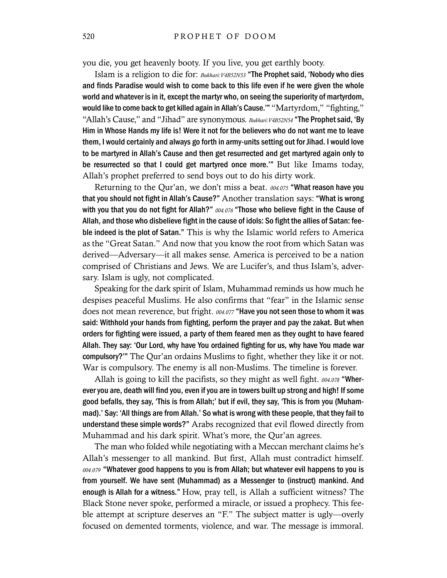you die, you get heavenly booty. If you live, you get earthly booty.

Islam is a religion to die for: *Bukhari:V4B52N53* "The Prophet said, 'Nobody who dies and finds Paradise would wish to come back to this life even if he were given the whole world and whatever is in it, except the martyr who, on seeing the superiority of martyrdom, would like to come back to get killed again in Allah's Cause."" "Martyrdom," "fighting," "Allah's Cause," and "Jihad" are synonymous. *Bukhari:V4B52N54* "The Prophet said, 'By Him in Whose Hands my life is! Were it not for the believers who do not want me to leave them, I would certainly and always go forth in army-units setting out for Jihad. I would love to be martyred in Allah's Cause and then get resurrected and get martyred again only to be resurrected so that I could get martyred once more.'" But like Imams today, Allah's prophet preferred to send boys out to do his dirty work.

Returning to the Qur'an, we don't miss a beat. *004.075* "What reason have you that you should not fight in Allah's Cause?" Another translation says: "What is wrong with you that you do not fight for Allah?" *004.076* "Those who believe fight in the Cause of Allah, and those who disbelieve fight in the cause of idols: So fight the allies of Satan: feeble indeed is the plot of Satan." This is why the Islamic world refers to America as the "Great Satan." And now that you know the root from which Satan was derived—Adversary—it all makes sense. America is perceived to be a nation comprised of Christians and Jews. We are Lucifer's, and thus Islam's, adversary. Islam is ugly, not complicated.

Speaking for the dark spirit of Islam, Muhammad reminds us how much he despises peaceful Muslims. He also confirms that "fear" in the Islamic sense does not mean reverence, but fright. *004.077* "Have you not seen those to whom it was said: Withhold your hands from fighting, perform the prayer and pay the zakat. But when orders for fighting were issued, a party of them feared men as they ought to have feared Allah. They say: 'Our Lord, why have You ordained fighting for us, why have You made war compulsory?'" The Qur'an ordains Muslims to fight, whether they like it or not. War is compulsory. The enemy is all non-Muslims. The timeline is forever.

Allah is going to kill the pacifists, so they might as well fight. *004.078* "Wherever you are, death will find you, even if you are in towers built up strong and high! If some good befalls, they say, 'This is from Allah;' but if evil, they say, 'This is from you (Muhammad).' Say: 'All things are from Allah.' So what is wrong with these people, that they fail to understand these simple words?" Arabs recognized that evil flowed directly from Muhammad and his dark spirit. What's more, the Qur'an agrees.

The man who folded while negotiating with a Meccan merchant claims he's Allah's messenger to all mankind. But first, Allah must contradict himself. *004.079* "Whatever good happens to you is from Allah; but whatever evil happens to you is from yourself. We have sent (Muhammad) as a Messenger to (instruct) mankind. And enough is Allah for a witness." How, pray tell, is Allah a sufficient witness? The Black Stone never spoke, performed a miracle, or issued a prophecy. This feeble attempt at scripture deserves an "F." The subject matter is ugly—overly focused on demented torments, violence, and war. The message is immoral.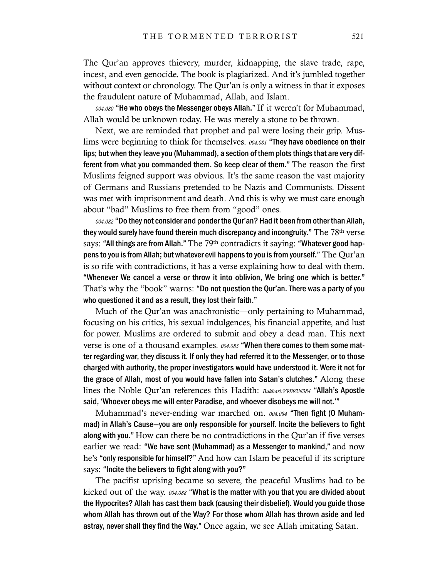The Qur'an approves thievery, murder, kidnapping, the slave trade, rape, incest, and even genocide. The book is plagiarized. And it's jumbled together without context or chronology. The Qur'an is only a witness in that it exposes the fraudulent nature of Muhammad, Allah, and Islam.

*004.080* "He who obeys the Messenger obeys Allah." If it weren't for Muhammad, Allah would be unknown today. He was merely a stone to be thrown.

Next, we are reminded that prophet and pal were losing their grip. Muslims were beginning to think for themselves. *004.081* "They have obedience on their lips; but when they leave you (Muhammad), a section of them plots things that are very different from what you commanded them. So keep clear of them." The reason the first Muslims feigned support was obvious. It's the same reason the vast majority of Germans and Russians pretended to be Nazis and Communists. Dissent was met with imprisonment and death. And this is why we must care enough about "bad" Muslims to free them from "good" ones.

*004.082* "Do they not consider and ponder the Qur'an? Had it been from other than Allah, they would surely have found therein much discrepancy and incongruity." The  $78<sup>th</sup>$  verse says: "All things are from Allah." The 79<sup>th</sup> contradicts it saying: "Whatever good happens to you is from Allah; but whatever evil happens to you is from yourself." The Qur'an is so rife with contradictions, it has a verse explaining how to deal with them. "Whenever We cancel a verse or throw it into oblivion, We bring one which is better." That's why the "book" warns: "Do not question the Qur'an. There was a party of you who questioned it and as a result, they lost their faith."

Much of the Qur'an was anachronistic—only pertaining to Muhammad, focusing on his critics, his sexual indulgences, his financial appetite, and lust for power. Muslims are ordered to submit and obey a dead man. This next verse is one of a thousand examples. *004.083* "When there comes to them some matter regarding war, they discuss it. If only they had referred it to the Messenger, or to those charged with authority, the proper investigators would have understood it. Were it not for the grace of Allah, most of you would have fallen into Satan's clutches." Along these lines the Noble Qur'an references this Hadith: *Bukhari:V9B92N384* "Allah's Apostle said, 'Whoever obeys me will enter Paradise, and whoever disobeys me will not.'"

Muhammad's never-ending war marched on. *004.084* "Then fight (O Muhammad) in Allah's Cause—you are only responsible for yourself. Incite the believers to fight along with you." How can there be no contradictions in the Qur'an if five verses earlier we read: "We have sent (Muhammad) as a Messenger to mankind," and now he's "only responsible for himself?" And how can Islam be peaceful if its scripture says: "Incite the believers to fight along with you?"

The pacifist uprising became so severe, the peaceful Muslims had to be kicked out of the way. *004.088* "What is the matter with you that you are divided about the Hypocrites? Allah has cast them back (causing their disbelief). Would you guide those whom Allah has thrown out of the Way? For those whom Allah has thrown aside and led astray, never shall they find the Way." Once again, we see Allah imitating Satan.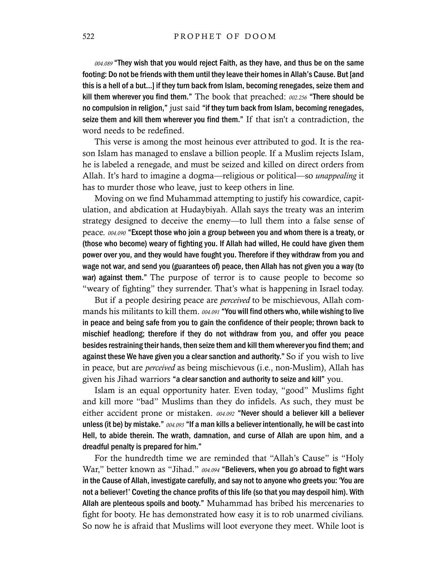*004.089* "They wish that you would reject Faith, as they have, and thus be on the same footing: Do not be friends with them until they leave their homes in Allah's Cause. But [and this is a hell of a but...] if they turn back from Islam, becoming renegades, seize them and kill them wherever you find them." The book that preached: *002.256* "There should be no compulsion in religion," just said "if they turn back from Islam, becoming renegades, seize them and kill them wherever you find them." If that isn't a contradiction, the word needs to be redefined.

This verse is among the most heinous ever attributed to god. It is the reason Islam has managed to enslave a billion people. If a Muslim rejects Islam, he is labeled a renegade, and must be seized and killed on direct orders from Allah. It's hard to imagine a dogma—religious or political—so *unappealing* it has to murder those who leave, just to keep others in line.

Moving on we find Muhammad attempting to justify his cowardice, capitulation, and abdication at Hudaybiyah. Allah says the treaty was an interim strategy designed to deceive the enemy—to lull them into a false sense of peace. *004.090* "Except those who join a group between you and whom there is a treaty, or (those who become) weary of fighting you. If Allah had willed, He could have given them power over you, and they would have fought you. Therefore if they withdraw from you and wage not war, and send you (guarantees of) peace, then Allah has not given you a way (to war) against them." The purpose of terror is to cause people to become so "weary of fighting" they surrender. That's what is happening in Israel today.

But if a people desiring peace are *perceived* to be mischievous, Allah commands his militants to kill them. *004.091* "You will find others who, while wishing to live in peace and being safe from you to gain the confidence of their people; thrown back to mischief headlong; therefore if they do not withdraw from you, and offer you peace besides restraining their hands, then seize them and kill them wherever you find them; and against these We have given you a clear sanction and authority." So if you wish to live in peace, but are *perceived* as being mischievous (i.e., non-Muslim), Allah has given his Jihad warriors "a clear sanction and authority to seize and kill" you.

Islam is an equal opportunity hater. Even today, "good" Muslims fight and kill more "bad" Muslims than they do infidels. As such, they must be either accident prone or mistaken. *004.092* "Never should a believer kill a believer unless (it be) by mistake." *004.093* "If a man kills a believer intentionally, he will be cast into Hell, to abide therein. The wrath, damnation, and curse of Allah are upon him, and a dreadful penalty is prepared for him."

For the hundredth time we are reminded that "Allah's Cause" is "Holy War," better known as "Jihad."  $0.04.094$  "Believers, when you go abroad to fight wars in the Cause of Allah, investigate carefully, and say not to anyone who greets you: 'You are not a believer!' Coveting the chance profits of this life (so that you may despoil him). With Allah are plenteous spoils and booty." Muhammad has bribed his mercenaries to fight for booty. He has demonstrated how easy it is to rob unarmed civilians. So now he is afraid that Muslims will loot everyone they meet. While loot is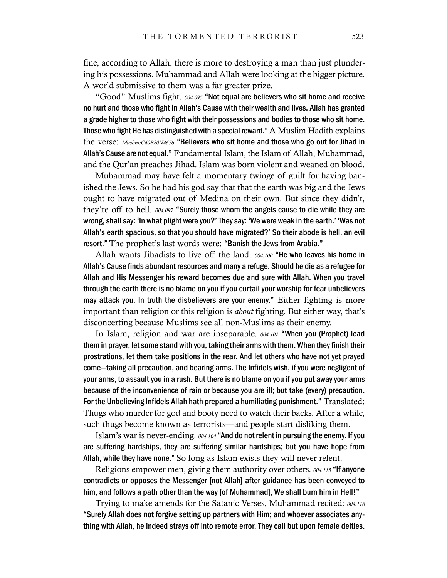fine, according to Allah, there is more to destroying a man than just plundering his possessions. Muhammad and Allah were looking at the bigger picture. A world submissive to them was a far greater prize.

"Good" Muslims fight. *004.095* "Not equal are believers who sit home and receive no hurt and those who fight in Allah's Cause with their wealth and lives. Allah has granted a grade higher to those who fight with their possessions and bodies to those who sit home. Those who fight He has distinguished with a special reward." A Muslim Hadith explains the verse: *Muslim:C40B20N4676* "Believers who sit home and those who go out for Jihad in Allah's Cause are not equal." Fundamental Islam, the Islam of Allah, Muhammad, and the Qur'an preaches Jihad. Islam was born violent and weaned on blood.

Muhammad may have felt a momentary twinge of guilt for having banished the Jews. So he had his god say that that the earth was big and the Jews ought to have migrated out of Medina on their own. But since they didn't, they're off to hell. *004.097* "Surely those whom the angels cause to die while they are wrong, shall say: 'In what plight were you?' They say: 'We were weak in the earth.' 'Was not Allah's earth spacious, so that you should have migrated?' So their abode is hell, an evil resort." The prophet's last words were: "Banish the Jews from Arabia."

Allah wants Jihadists to live off the land. *004.100* "He who leaves his home in Allah's Cause finds abundant resources and many a refuge. Should he die as a refugee for Allah and His Messenger his reward becomes due and sure with Allah. When you travel through the earth there is no blame on you if you curtail your worship for fear unbelievers may attack you. In truth the disbelievers are your enemy." Either fighting is more important than religion or this religion is *about* fighting. But either way, that's disconcerting because Muslims see all non-Muslims as their enemy.

In Islam, religion and war are inseparable. *004.102* "When you (Prophet) lead them in prayer, let some stand with you, taking their arms with them. When they finish their prostrations, let them take positions in the rear. And let others who have not yet prayed come—taking all precaution, and bearing arms. The Infidels wish, if you were negligent of your arms, to assault you in a rush. But there is no blame on you if you put away your arms because of the inconvenience of rain or because you are ill; but take (every) precaution. For the Unbelieving Infidels Allah hath prepared a humiliating punishment." Translated: Thugs who murder for god and booty need to watch their backs. After a while, such thugs become known as terrorists—and people start disliking them.

Islam's war is never-ending. *004.104* "And do not relent in pursuing the enemy. If you are suffering hardships, they are suffering similar hardships; but you have hope from Allah, while they have none." So long as Islam exists they will never relent.

Religions empower men, giving them authority over others. *004.115* "If anyone contradicts or opposes the Messenger [not Allah] after guidance has been conveyed to him, and follows a path other than the way [of Muhammad], We shall burn him in Hell!"

Trying to make amends for the Satanic Verses, Muhammad recited: *004.116* "Surely Allah does not forgive setting up partners with Him; and whoever associates anything with Allah, he indeed strays off into remote error. They call but upon female deities.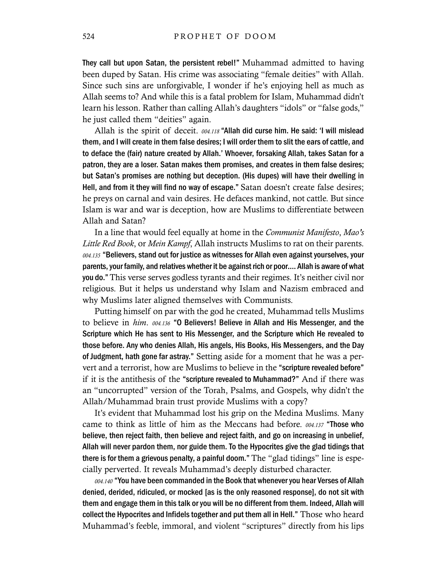They call but upon Satan, the persistent rebel!" Muhammad admitted to having been duped by Satan. His crime was associating "female deities" with Allah. Since such sins are unforgivable, I wonder if he's enjoying hell as much as Allah seems to? And while this is a fatal problem for Islam, Muhammad didn't learn his lesson. Rather than calling Allah's daughters "idols" or "false gods," he just called them "deities" again.

Allah is the spirit of deceit. *004.118* "Allah did curse him. He said: 'I will mislead them, and I will create in them false desires; I will order them to slit the ears of cattle, and to deface the (fair) nature created by Allah.' Whoever, forsaking Allah, takes Satan for a patron, they are a loser. Satan makes them promises, and creates in them false desires; but Satan's promises are nothing but deception. (His dupes) will have their dwelling in Hell, and from it they will find no way of escape." Satan doesn't create false desires; he preys on carnal and vain desires. He defaces mankind, not cattle. But since Islam is war and war is deception, how are Muslims to differentiate between Allah and Satan?

In a line that would feel equally at home in the *Communist Manifesto*, *Mao's Little Red Book*, or *Mein Kampf*, Allah instructs Muslims to rat on their parents. *004.135* "Believers, stand out for justice as witnesses for Allah even against yourselves, your parents, your family, and relatives whether it be against rich or poor…. Allah is aware of what you do." This verse serves godless tyrants and their regimes. It's neither civil nor religious. But it helps us understand why Islam and Nazism embraced and why Muslims later aligned themselves with Communists.

Putting himself on par with the god he created, Muhammad tells Muslims to believe in *him*. *004.136* "O Believers! Believe in Allah and His Messenger, and the Scripture which He has sent to His Messenger, and the Scripture which He revealed to those before. Any who denies Allah, His angels, His Books, His Messengers, and the Day of Judgment, hath gone far astray." Setting aside for a moment that he was a pervert and a terrorist, how are Muslims to believe in the "scripture revealed before" if it is the antithesis of the "scripture revealed to Muhammad?" And if there was an "uncorrupted" version of the Torah, Psalms, and Gospels, why didn't the Allah/Muhammad brain trust provide Muslims with a copy?

It's evident that Muhammad lost his grip on the Medina Muslims. Many came to think as little of him as the Meccans had before. *004.137* "Those who believe, then reject faith, then believe and reject faith, and go on increasing in unbelief, Allah will never pardon them, nor guide them. To the Hypocrites give the glad tidings that there is for them a grievous penalty, a painful doom." The "glad tidings" line is especially perverted. It reveals Muhammad's deeply disturbed character.

*004.140* "You have been commanded in the Book that whenever you hear Verses of Allah denied, derided, ridiculed, or mocked [as is the only reasoned response], do not sit with them and engage them in this talk or you will be no different from them. Indeed, Allah will collect the Hypocrites and Infidels together and put them all in Hell." Those who heard Muhammad's feeble, immoral, and violent "scriptures" directly from his lips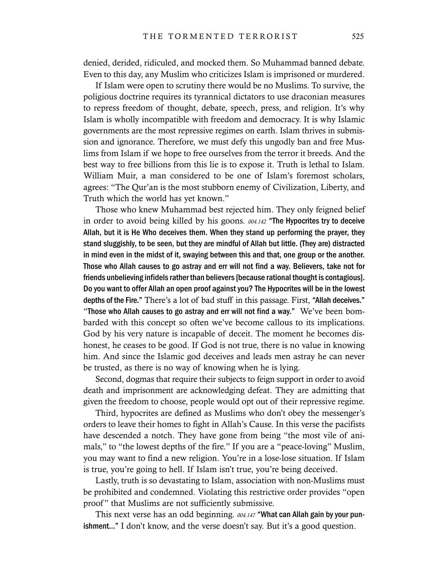denied, derided, ridiculed, and mocked them. So Muhammad banned debate. Even to this day, any Muslim who criticizes Islam is imprisoned or murdered.

If Islam were open to scrutiny there would be no Muslims. To survive, the poligious doctrine requires its tyrannical dictators to use draconian measures to repress freedom of thought, debate, speech, press, and religion. It's why Islam is wholly incompatible with freedom and democracy. It is why Islamic governments are the most repressive regimes on earth. Islam thrives in submission and ignorance. Therefore, we must defy this ungodly ban and free Muslims from Islam if we hope to free ourselves from the terror it breeds. And the best way to free billions from this lie is to expose it. Truth is lethal to Islam. William Muir, a man considered to be one of Islam's foremost scholars, agrees: "The Qur'an is the most stubborn enemy of Civilization, Liberty, and Truth which the world has yet known."

Those who knew Muhammad best rejected him. They only feigned belief in order to avoid being killed by his goons. *004.142* "The Hypocrites try to deceive Allah, but it is He Who deceives them. When they stand up performing the prayer, they stand sluggishly, to be seen, but they are mindful of Allah but little. (They are) distracted in mind even in the midst of it, swaying between this and that, one group or the another. Those who Allah causes to go astray and err will not find a way. Believers, take not for friends unbelieving infidels rather than believers [because rational thought is contagious]. Do you want to offer Allah an open proof against you? The Hypocrites will be in the lowest depths of the Fire." There's a lot of bad stuff in this passage. First, "Allah deceives." "Those who Allah causes to go astray and err will not find a way." We've been bombarded with this concept so often we've become callous to its implications. God by his very nature is incapable of deceit. The moment he becomes dishonest, he ceases to be good. If God is not true, there is no value in knowing him. And since the Islamic god deceives and leads men astray he can never be trusted, as there is no way of knowing when he is lying.

Second, dogmas that require their subjects to feign support in order to avoid death and imprisonment are acknowledging defeat. They are admitting that given the freedom to choose, people would opt out of their repressive regime.

Third, hypocrites are defined as Muslims who don't obey the messenger's orders to leave their homes to fight in Allah's Cause. In this verse the pacifists have descended a notch. They have gone from being "the most vile of animals," to "the lowest depths of the fire." If you are a "peace-loving" Muslim, you may want to find a new religion. You're in a lose-lose situation. If Islam is true, you're going to hell. If Islam isn't true, you're being deceived.

Lastly, truth is so devastating to Islam, association with non-Muslims must be prohibited and condemned. Violating this restrictive order provides "open proof" that Muslims are not sufficiently submissive.

This next verse has an odd beginning. *004.147* "What can Allah gain by your punishment…" I don't know, and the verse doesn't say. But it's a good question.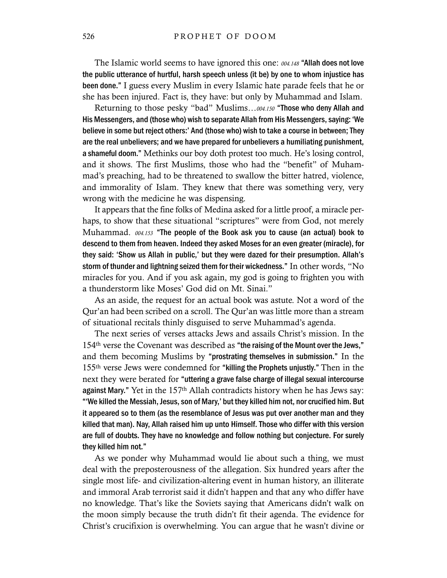The Islamic world seems to have ignored this one: *004.148* "Allah does not love the public utterance of hurtful, harsh speech unless (it be) by one to whom injustice has been done." I guess every Muslim in every Islamic hate parade feels that he or she has been injured. Fact is, they have: but only by Muhammad and Islam.

Returning to those pesky "bad" Muslims…*004.150* "Those who deny Allah and His Messengers, and (those who) wish to separate Allah from His Messengers, saying: 'We believe in some but reject others:' And (those who) wish to take a course in between; They are the real unbelievers; and we have prepared for unbelievers a humiliating punishment, a shameful doom." Methinks our boy doth protest too much. He's losing control, and it shows. The first Muslims, those who had the "benefit" of Muhammad's preaching, had to be threatened to swallow the bitter hatred, violence, and immorality of Islam. They knew that there was something very, very wrong with the medicine he was dispensing.

It appears that the fine folks of Medina asked for a little proof, a miracle perhaps, to show that these situational "scriptures" were from God, not merely Muhammad. *004.153* "The people of the Book ask you to cause (an actual) book to descend to them from heaven. Indeed they asked Moses for an even greater (miracle), for they said: 'Show us Allah in public,' but they were dazed for their presumption. Allah's storm of thunder and lightning seized them for their wickedness." In other words, "No miracles for you. And if you ask again, my god is going to frighten you with a thunderstorm like Moses' God did on Mt. Sinai."

As an aside, the request for an actual book was astute. Not a word of the Qur'an had been scribed on a scroll. The Qur'an was little more than a stream of situational recitals thinly disguised to serve Muhammad's agenda.

The next series of verses attacks Jews and assails Christ's mission. In the 154th verse the Covenant was described as "the raising of the Mount over the Jews," and them becoming Muslims by "prostrating themselves in submission." In the 155th verse Jews were condemned for "killing the Prophets unjustly." Then in the next they were berated for "uttering a grave false charge of illegal sexual intercourse against Mary." Yet in the 157<sup>th</sup> Allah contradicts history when he has Jews say: "'We killed the Messiah, Jesus, son of Mary,' but they killed him not, nor crucified him. But it appeared so to them (as the resemblance of Jesus was put over another man and they killed that man). Nay, Allah raised him up unto Himself. Those who differ with this version are full of doubts. They have no knowledge and follow nothing but conjecture. For surely they killed him not."

As we ponder why Muhammad would lie about such a thing, we must deal with the preposterousness of the allegation. Six hundred years after the single most life- and civilization-altering event in human history, an illiterate and immoral Arab terrorist said it didn't happen and that any who differ have no knowledge. That's like the Soviets saying that Americans didn't walk on the moon simply because the truth didn't fit their agenda. The evidence for Christ's crucifixion is overwhelming. You can argue that he wasn't divine or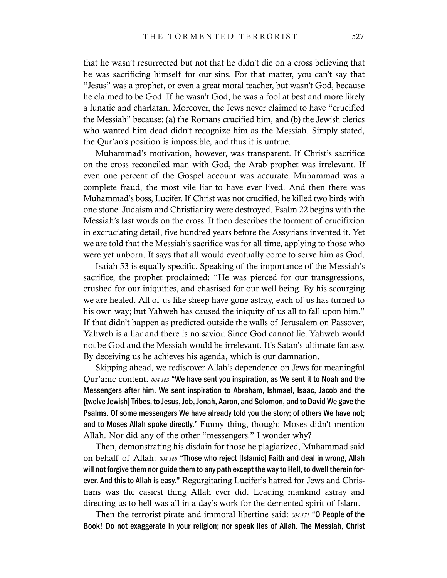that he wasn't resurrected but not that he didn't die on a cross believing that he was sacrificing himself for our sins. For that matter, you can't say that "Jesus" was a prophet, or even a great moral teacher, but wasn't God, because he claimed to be God. If he wasn't God, he was a fool at best and more likely a lunatic and charlatan. Moreover, the Jews never claimed to have "crucified the Messiah" because: (a) the Romans crucified him, and (b) the Jewish clerics who wanted him dead didn't recognize him as the Messiah. Simply stated, the Qur'an's position is impossible, and thus it is untrue.

Muhammad's motivation, however, was transparent. If Christ's sacrifice on the cross reconciled man with God, the Arab prophet was irrelevant. If even one percent of the Gospel account was accurate, Muhammad was a complete fraud, the most vile liar to have ever lived. And then there was Muhammad's boss, Lucifer. If Christ was not crucified, he killed two birds with one stone. Judaism and Christianity were destroyed. Psalm 22 begins with the Messiah's last words on the cross. It then describes the torment of crucifixion in excruciating detail, five hundred years before the Assyrians invented it. Yet we are told that the Messiah's sacrifice was for all time, applying to those who were yet unborn. It says that all would eventually come to serve him as God.

Isaiah 53 is equally specific. Speaking of the importance of the Messiah's sacrifice, the prophet proclaimed: "He was pierced for our transgressions, crushed for our iniquities, and chastised for our well being. By his scourging we are healed. All of us like sheep have gone astray, each of us has turned to his own way; but Yahweh has caused the iniquity of us all to fall upon him." If that didn't happen as predicted outside the walls of Jerusalem on Passover, Yahweh is a liar and there is no savior. Since God cannot lie, Yahweh would not be God and the Messiah would be irrelevant. It's Satan's ultimate fantasy. By deceiving us he achieves his agenda, which is our damnation.

Skipping ahead, we rediscover Allah's dependence on Jews for meaningful Qur'anic content. *004.163* "We have sent you inspiration, as We sent it to Noah and the Messengers after him. We sent inspiration to Abraham, Ishmael, Isaac, Jacob and the [twelve Jewish] Tribes, to Jesus, Job, Jonah, Aaron, and Solomon, and to David We gave the Psalms. Of some messengers We have already told you the story; of others We have not; and to Moses Allah spoke directly." Funny thing, though; Moses didn't mention Allah. Nor did any of the other "messengers." I wonder why?

Then, demonstrating his disdain for those he plagiarized, Muhammad said on behalf of Allah: *004.168* "Those who reject [Islamic] Faith and deal in wrong, Allah will not forgive them nor guide them to any path except the way to Hell, to dwell therein forever. And this to Allah is easy." Regurgitating Lucifer's hatred for Jews and Christians was the easiest thing Allah ever did. Leading mankind astray and directing us to hell was all in a day's work for the demented spirit of Islam.

Then the terrorist pirate and immoral libertine said: *004.171* "O People of the Book! Do not exaggerate in your religion; nor speak lies of Allah. The Messiah, Christ